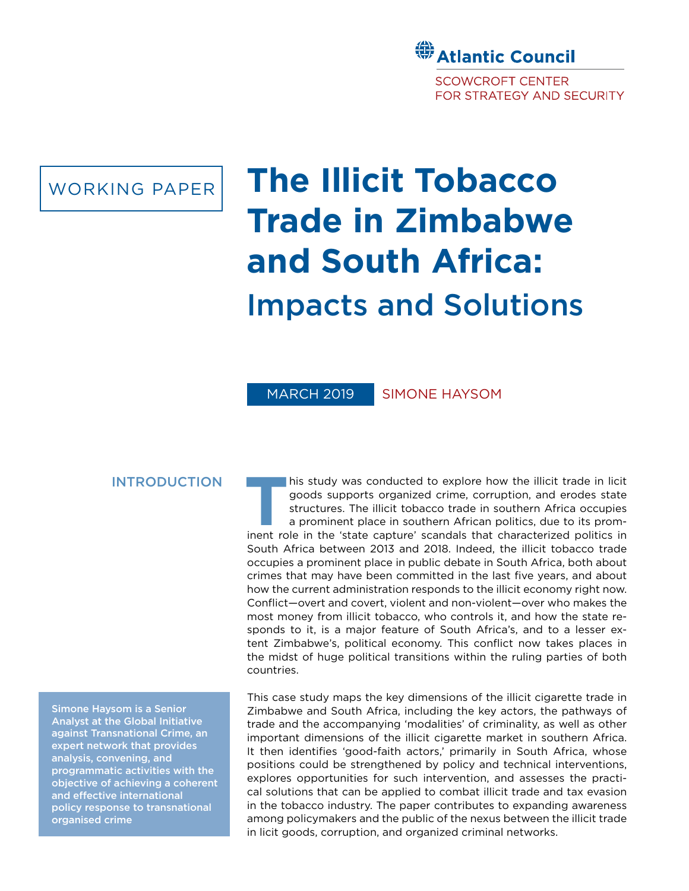# **Stantic Council SCOWCROFT CENTER FOR STRATEGY AND SECURITY**

WORKING PAPER

# **The Illicit Tobacco Trade in Zimbabwe and South Africa:** Impacts and Solutions

MARCH 2019 SIMONE HAYSOM

## INTRODUCTION

Simone Haysom is a Senior Analyst at the Global Initiative against Transnational Crime, an expert network that provides analysis, convening, and programmatic activities with the objective of achieving a coherent and effective international policy response to transnational organised crime

**THE TEND INTERNATION INTERNATION INTERNATION** INTERNATION And erodes state structures. The illicit tobacco trade in southern Africa occupies a prominent place in southern African politics, due to its prominent role in the goods supports organized crime, corruption, and erodes state structures. The illicit tobacco trade in southern Africa occupies a prominent place in southern African politics, due to its prom-South Africa between 2013 and 2018. Indeed, the illicit tobacco trade occupies a prominent place in public debate in South Africa, both about crimes that may have been committed in the last five years, and about how the current administration responds to the illicit economy right now. Conflict—overt and covert, violent and non-violent—over who makes the most money from illicit tobacco, who controls it, and how the state responds to it, is a major feature of South Africa's, and to a lesser extent Zimbabwe's, political economy. This conflict now takes places in the midst of huge political transitions within the ruling parties of both countries.

This case study maps the key dimensions of the illicit cigarette trade in Zimbabwe and South Africa, including the key actors, the pathways of trade and the accompanying 'modalities' of criminality, as well as other important dimensions of the illicit cigarette market in southern Africa. It then identifies 'good-faith actors,' primarily in South Africa, whose positions could be strengthened by policy and technical interventions, explores opportunities for such intervention, and assesses the practical solutions that can be applied to combat illicit trade and tax evasion in the tobacco industry. The paper contributes to expanding awareness among policymakers and the public of the nexus between the illicit trade in licit goods, corruption, and organized criminal networks.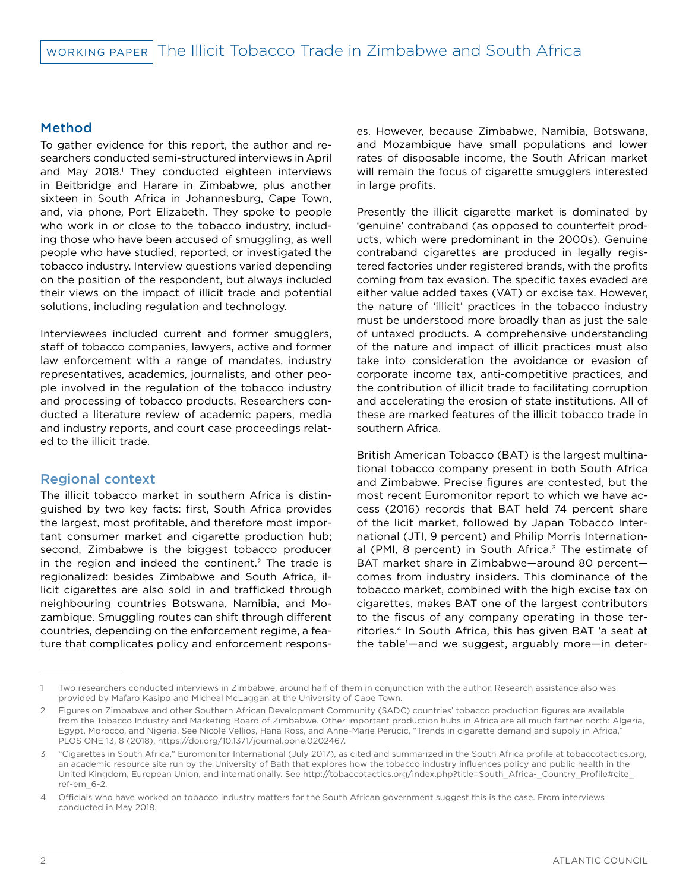#### Method

To gather evidence for this report, the author and researchers conducted semi-structured interviews in April and May 2018<sup>1</sup> They conducted eighteen interviews in Beitbridge and Harare in Zimbabwe, plus another sixteen in South Africa in Johannesburg, Cape Town, and, via phone, Port Elizabeth. They spoke to people who work in or close to the tobacco industry, including those who have been accused of smuggling, as well people who have studied, reported, or investigated the tobacco industry. Interview questions varied depending on the position of the respondent, but always included their views on the impact of illicit trade and potential solutions, including regulation and technology.

Interviewees included current and former smugglers, staff of tobacco companies, lawyers, active and former law enforcement with a range of mandates, industry representatives, academics, journalists, and other people involved in the regulation of the tobacco industry and processing of tobacco products. Researchers conducted a literature review of academic papers, media and industry reports, and court case proceedings related to the illicit trade.

#### Regional context

The illicit tobacco market in southern Africa is distinguished by two key facts: first, South Africa provides the largest, most profitable, and therefore most important consumer market and cigarette production hub; second, Zimbabwe is the biggest tobacco producer in the region and indeed the continent.<sup>2</sup> The trade is regionalized: besides Zimbabwe and South Africa, illicit cigarettes are also sold in and trafficked through neighbouring countries Botswana, Namibia, and Mozambique. Smuggling routes can shift through different countries, depending on the enforcement regime, a feature that complicates policy and enforcement responses. However, because Zimbabwe, Namibia, Botswana, and Mozambique have small populations and lower rates of disposable income, the South African market will remain the focus of cigarette smugglers interested in large profits.

Presently the illicit cigarette market is dominated by 'genuine' contraband (as opposed to counterfeit products, which were predominant in the 2000s). Genuine contraband cigarettes are produced in legally registered factories under registered brands, with the profits coming from tax evasion. The specific taxes evaded are either value added taxes (VAT) or excise tax. However, the nature of 'illicit' practices in the tobacco industry must be understood more broadly than as just the sale of untaxed products. A comprehensive understanding of the nature and impact of illicit practices must also take into consideration the avoidance or evasion of corporate income tax, anti-competitive practices, and the contribution of illicit trade to facilitating corruption and accelerating the erosion of state institutions. All of these are marked features of the illicit tobacco trade in southern Africa.

British American Tobacco (BAT) is the largest multinational tobacco company present in both South Africa and Zimbabwe. Precise figures are contested, but the most recent Euromonitor report to which we have access (2016) records that BAT held 74 percent share of the licit market, followed by [Japan Tobacco Inter](http://www.tobaccotactics.org/index.php?title=Japan_Tobacco_International)[national](http://www.tobaccotactics.org/index.php?title=Japan_Tobacco_International) (JTI, 9 percent) and [Philip Morris Internation](http://www.tobaccotactics.org/index.php?title=Philip_Morris_International)[al](http://www.tobaccotactics.org/index.php?title=Philip_Morris_International)  $(PMI, 8$  percent) in South Africa.<sup>3</sup> The estimate of BAT market share in Zimbabwe—around 80 percent comes from industry insiders. This dominance of the tobacco market, combined with the high excise tax on cigarettes, makes BAT one of the largest contributors to the fiscus of any company operating in those territories.4 In South Africa, this has given BAT 'a seat at the table'—and we suggest, arguably more—in deter-

Two researchers conducted interviews in Zimbabwe, around half of them in conjunction with the author. Research assistance also was provided by Mafaro Kasipo and Micheal McLaggan at the University of Cape Town.

<sup>2</sup> Figures on Zimbabwe and other Southern African Development Community (SADC) countries' tobacco production figures are available from the Tobacco Industry and Marketing Board of Zimbabwe. Other important production hubs in Africa are all much farther north: Algeria, Egypt, Morocco, and Nigeria. See Nicole Vellios, Hana Ross, and Anne-Marie Perucic, "Trends in cigarette demand and supply in Africa," PLOS ONE 13, 8 (2018), [https://doi.org/10.1371/journal.pone.0202467.](https://doi.org/10.1371/journal.pone.0202467)

<sup>3</sup> "Cigarettes in South Africa," Euromonitor International (July 2017), as cited and summarized in the South Africa profile at tobaccotactics.org, an academic resource site run by the University of Bath that explores how the tobacco industry influences policy and public health in the United Kingdom, European Union, and internationally. See [http://tobaccotactics.org/index.php?title=South\\_Africa-\\_Country\\_Profile#cite\\_](http://tobaccotactics.org/index.php?title=South_Africa-_Country_Profile#cite_ref-em_6-2) [ref-em\\_6-2.](http://tobaccotactics.org/index.php?title=South_Africa-_Country_Profile#cite_ref-em_6-2)

<sup>4</sup> Officials who have worked on tobacco industry matters for the South African government suggest this is the case. From interviews conducted in May 2018.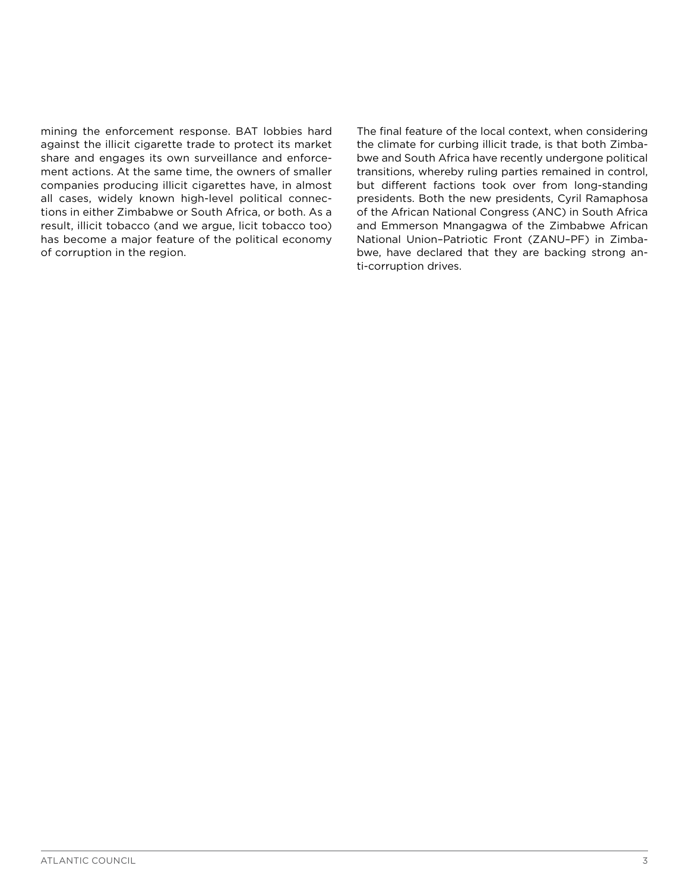mining the enforcement response. BAT lobbies hard against the illicit cigarette trade to protect its market share and engages its own surveillance and enforcement actions. At the same time, the owners of smaller companies producing illicit cigarettes have, in almost all cases, widely known high-level political connections in either Zimbabwe or South Africa, or both. As a result, illicit tobacco (and we argue, licit tobacco too) has become a major feature of the political economy of corruption in the region.

The final feature of the local context, when considering the climate for curbing illicit trade, is that both Zimbabwe and South Africa have recently undergone political transitions, whereby ruling parties remained in control, but different factions took over from long-standing presidents. Both the new presidents, Cyril Ramaphosa of the African National Congress (ANC) in South Africa and Emmerson Mnangagwa of the Zimbabwe African National Union–Patriotic Front (ZANU–PF) in Zimbabwe, have declared that they are backing strong anti-corruption drives.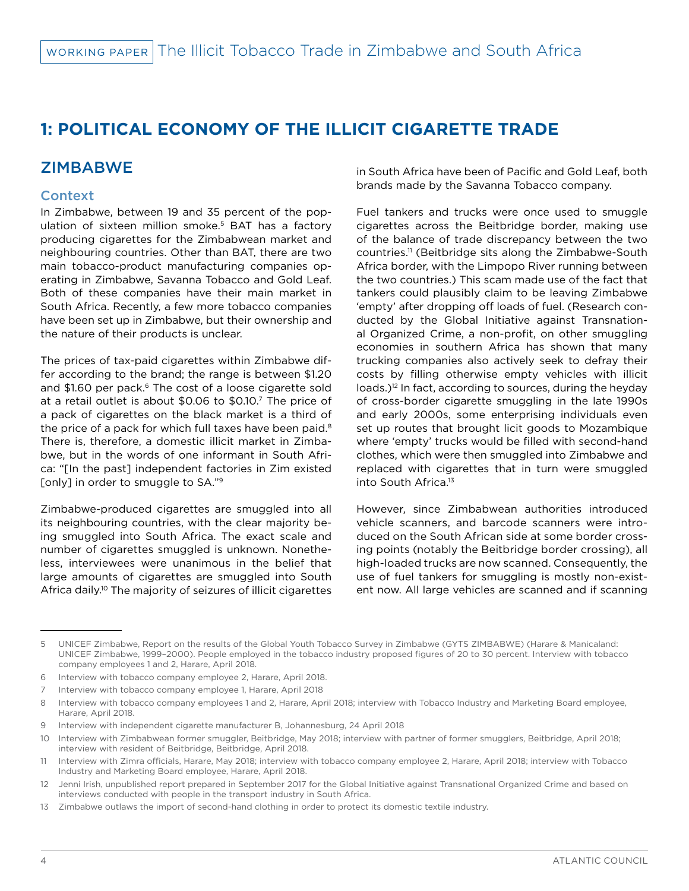# **1: POLITICAL ECONOMY OF THE ILLICIT CIGARETTE TRADE**

# **ZIMBABWE**

#### Context

In Zimbabwe, between 19 and 35 percent of the population of sixteen million smoke.<sup>5</sup> BAT has a factory producing cigarettes for the Zimbabwean market and neighbouring countries. Other than BAT, there are two main tobacco-product manufacturing companies operating in Zimbabwe, Savanna Tobacco and Gold Leaf. Both of these companies have their main market in South Africa. Recently, a few more tobacco companies have been set up in Zimbabwe, but their ownership and the nature of their products is unclear.

The prices of tax-paid cigarettes within Zimbabwe differ according to the brand; the range is between \$1.20 and \$1.60 per pack.<sup>6</sup> The cost of a loose cigarette sold at a retail outlet is about \$0.06 to \$0.10.7 The price of a pack of cigarettes on the black market is a third of the price of a pack for which full taxes have been paid.<sup>8</sup> There is, therefore, a domestic illicit market in Zimbabwe, but in the words of one informant in South Africa: "[In the past] independent factories in Zim existed [only] in order to smuggle to SA."<sup>9</sup>

Zimbabwe-produced cigarettes are smuggled into all its neighbouring countries, with the clear majority being smuggled into South Africa. The exact scale and number of cigarettes smuggled is unknown. Nonetheless, interviewees were unanimous in the belief that large amounts of cigarettes are smuggled into South Africa daily.10 The majority of seizures of illicit cigarettes

in South Africa have been of Pacific and Gold Leaf, both brands made by the Savanna Tobacco company.

Fuel tankers and trucks were once used to smuggle cigarettes across the Beitbridge border, making use of the balance of trade discrepancy between the two countries.11 (Beitbridge sits along the Zimbabwe-South Africa border, with the Limpopo River running between the two countries.) This scam made use of the fact that tankers could plausibly claim to be leaving Zimbabwe 'empty' after dropping off loads of fuel. (Research conducted by the Global Initiative against Transnational Organized Crime, a non-profit, on other smuggling economies in southern Africa has shown that many trucking companies also actively seek to defray their costs by filling otherwise empty vehicles with illicit loads.)<sup>12</sup> In fact, according to sources, during the heyday of cross-border cigarette smuggling in the late 1990s and early 2000s, some enterprising individuals even set up routes that brought licit goods to Mozambique where 'empty' trucks would be filled with second-hand clothes, which were then smuggled into Zimbabwe and replaced with cigarettes that in turn were smuggled into South Africa.13

However, since Zimbabwean authorities introduced vehicle scanners, and barcode scanners were introduced on the South African side at some border crossing points (notably the Beitbridge border crossing), all high-loaded trucks are now scanned. Consequently, the use of fuel tankers for smuggling is mostly non-existent now. All large vehicles are scanned and if scanning

<sup>5</sup> UNICEF Zimbabwe, Report on the results of the Global Youth Tobacco Survey in Zimbabwe (GYTS ZIMBABWE) (Harare & Manicaland: UNICEF Zimbabwe, 1999–2000). People employed in the tobacco industry proposed figures of 20 to 30 percent. Interview with tobacco company employees 1 and 2, Harare, April 2018.

<sup>6</sup> Interview with tobacco company employee 2, Harare, April 2018.

<sup>7</sup> Interview with tobacco company employee 1, Harare, April 2018

<sup>8</sup> Interview with tobacco company employees 1 and 2, Harare, April 2018; interview with Tobacco Industry and Marketing Board employee, Harare, April 2018.

<sup>9</sup> Interview with independent cigarette manufacturer B, Johannesburg, 24 April 2018

<sup>10</sup> Interview with Zimbabwean former smuggler, Beitbridge, May 2018; interview with partner of former smugglers, Beitbridge, April 2018; interview with resident of Beitbridge, Beitbridge, April 2018.

<sup>11</sup> Interview with Zimra officials, Harare, May 2018; interview with tobacco company employee 2, Harare, April 2018; interview with Tobacco Industry and Marketing Board employee, Harare, April 2018.

<sup>12</sup> Jenni Irish, unpublished report prepared in September 2017 for the Global Initiative against Transnational Organized Crime and based on interviews conducted with people in the transport industry in South Africa.

<sup>13</sup> Zimbabwe outlaws the import of second-hand clothing in order to protect its domestic textile industry.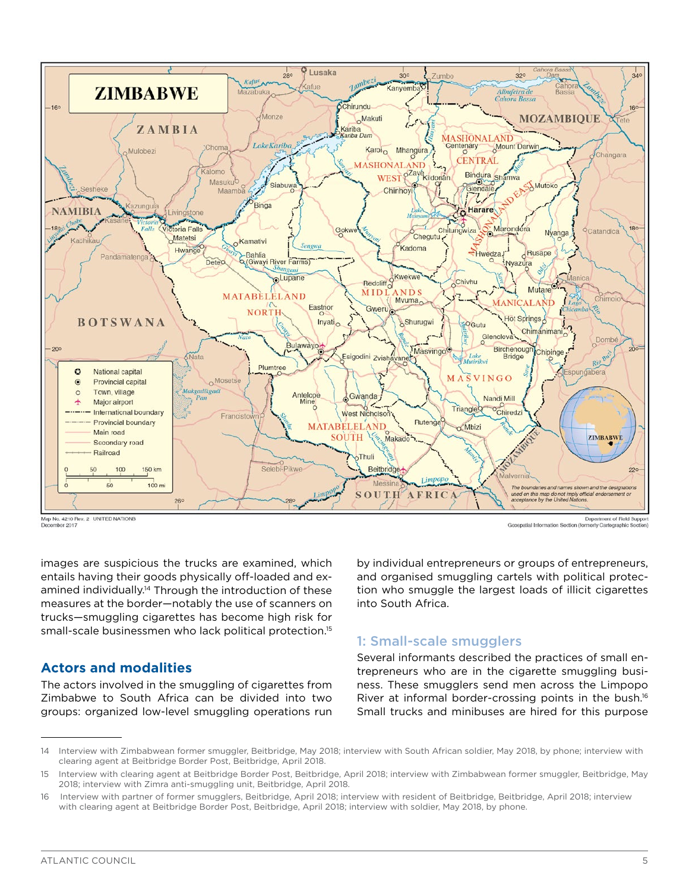

Department of Field Suppo<br>merly Cartographic Soction Governatial Information Soction (fr

images are suspicious the trucks are examined, which entails having their goods physically off-loaded and examined individually.<sup>14</sup> Through the introduction of these measures at the border—notably the use of scanners on trucks—smuggling cigarettes has become high risk for small-scale businessmen who lack political protection.<sup>15</sup>

#### **Actors and modalities**

The actors involved in the smuggling of cigarettes from Zimbabwe to South Africa can be divided into two groups: organized low-level smuggling operations run

by individual entrepreneurs or groups of entrepreneurs, and organised smuggling cartels with political protection who smuggle the largest loads of illicit cigarettes into South Africa.

#### 1: Small-scale smugglers

Several informants described the practices of small entrepreneurs who are in the cigarette smuggling business. These smugglers send men across the Limpopo River at informal border-crossing points in the bush.16 Small trucks and minibuses are hired for this purpose

<sup>14</sup> Interview with Zimbabwean former smuggler, Beitbridge, May 2018; interview with South African soldier, May 2018, by phone; interview with clearing agent at Beitbridge Border Post, Beitbridge, April 2018.

<sup>15</sup> Interview with clearing agent at Beitbridge Border Post, Beitbridge, April 2018; interview with Zimbabwean former smuggler, Beitbridge, May 2018; interview with Zimra anti-smuggling unit, Beitbridge, April 2018.

<sup>16</sup> Interview with partner of former smugglers, Beitbridge, April 2018; interview with resident of Beitbridge, Beitbridge, April 2018; interview with clearing agent at Beitbridge Border Post, Beitbridge, April 2018; interview with soldier, May 2018, by phone.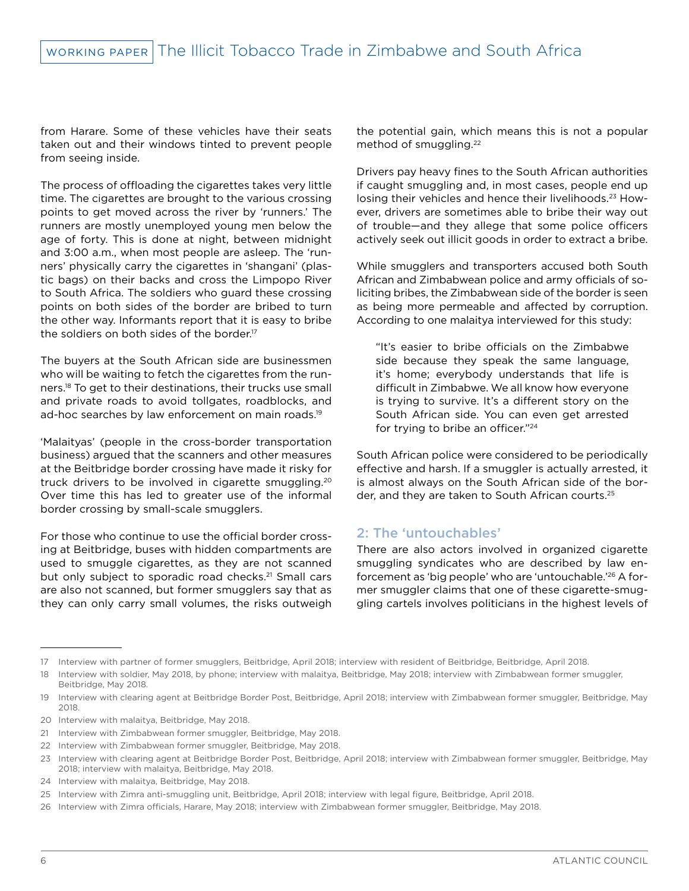from Harare. Some of these vehicles have their seats taken out and their windows tinted to prevent people from seeing inside.

The process of offloading the cigarettes takes very little time. The cigarettes are brought to the various crossing points to get moved across the river by 'runners.' The runners are mostly unemployed young men below the age of forty. This is done at night, between midnight and 3:00 a.m., when most people are asleep. The 'runners' physically carry the cigarettes in 'shangani' (plastic bags) on their backs and cross the Limpopo River to South Africa. The soldiers who guard these crossing points on both sides of the border are bribed to turn the other way. Informants report that it is easy to bribe the soldiers on both sides of the border.<sup>17</sup>

The buyers at the South African side are businessmen who will be waiting to fetch the cigarettes from the runners.18 To get to their destinations, their trucks use small and private roads to avoid tollgates, roadblocks, and ad-hoc searches by law enforcement on main roads.<sup>19</sup>

'Malaityas' (people in the cross-border transportation business) argued that the scanners and other measures at the Beitbridge border crossing have made it risky for truck drivers to be involved in cigarette smuggling.20 Over time this has led to greater use of the informal border crossing by small-scale smugglers.

For those who continue to use the official border crossing at Beitbridge, buses with hidden compartments are used to smuggle cigarettes, as they are not scanned but only subject to sporadic road checks.<sup>21</sup> Small cars are also not scanned, but former smugglers say that as they can only carry small volumes, the risks outweigh the potential gain, which means this is not a popular method of smuggling.22

Drivers pay heavy fines to the South African authorities if caught smuggling and, in most cases, people end up losing their vehicles and hence their livelihoods.<sup>23</sup> However, drivers are sometimes able to bribe their way out of trouble—and they allege that some police officers actively seek out illicit goods in order to extract a bribe.

While smugglers and transporters accused both South African and Zimbabwean police and army officials of soliciting bribes, the Zimbabwean side of the border is seen as being more permeable and affected by corruption. According to one malaitya interviewed for this study:

"It's easier to bribe officials on the Zimbabwe side because they speak the same language, it's home; everybody understands that life is difficult in Zimbabwe. We all know how everyone is trying to survive. It's a different story on the South African side. You can even get arrested for trying to bribe an officer."24

South African police were considered to be periodically effective and harsh. If a smuggler is actually arrested, it is almost always on the South African side of the border, and they are taken to South African courts.25

# 2: The 'untouchables'

There are also actors involved in organized cigarette smuggling syndicates who are described by law enforcement as 'big people' who are 'untouchable.'26 A former smuggler claims that one of these cigarette-smuggling cartels involves politicians in the highest levels of

<sup>17</sup> Interview with partner of former smugglers, Beitbridge, April 2018; interview with resident of Beitbridge, Beitbridge, April 2018.

<sup>18</sup> Interview with soldier, May 2018, by phone; interview with malaitya, Beitbridge, May 2018; interview with Zimbabwean former smuggler, Beitbridge, May 2018.

<sup>19</sup> Interview with clearing agent at Beitbridge Border Post, Beitbridge, April 2018; interview with Zimbabwean former smuggler, Beitbridge, May 2018.

<sup>20</sup> Interview with malaitya, Beitbridge, May 2018.

<sup>21</sup> Interview with Zimbabwean former smuggler, Beitbridge, May 2018.

<sup>22</sup> Interview with Zimbabwean former smuggler, Beitbridge, May 2018.

<sup>23</sup> Interview with clearing agent at Beitbridge Border Post, Beitbridge, April 2018; interview with Zimbabwean former smuggler, Beitbridge, May 2018; interview with malaitya, Beitbridge, May 2018.

<sup>24</sup> Interview with malaitya, Beitbridge, May 2018.

<sup>25</sup> Interview with Zimra anti-smuggling unit, Beitbridge, April 2018; interview with legal figure, Beitbridge, April 2018.

<sup>26</sup> Interview with Zimra officials, Harare, May 2018; interview with Zimbabwean former smuggler, Beitbridge, May 2018.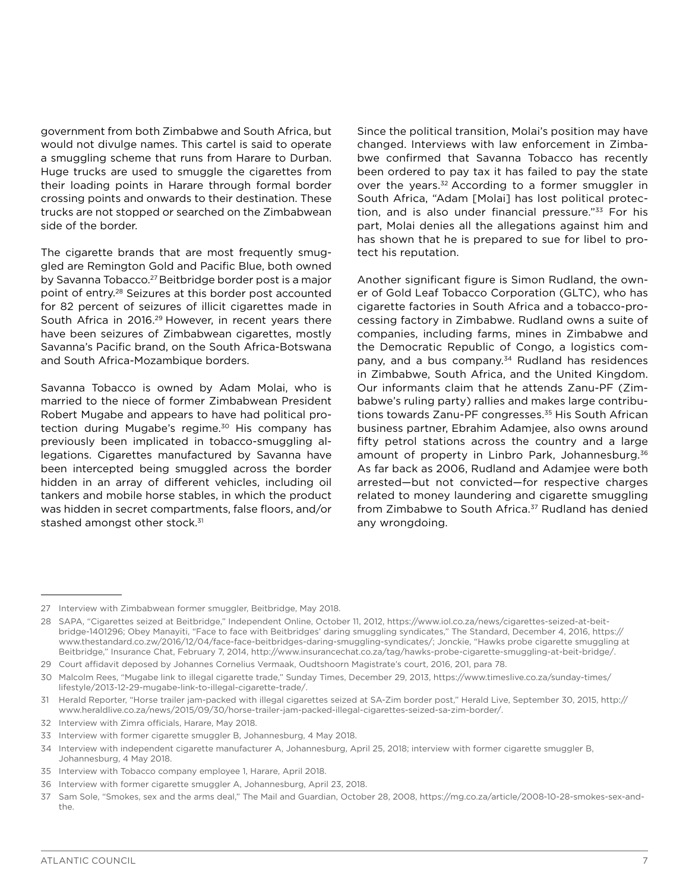government from both Zimbabwe and South Africa, but would not divulge names. This cartel is said to operate a smuggling scheme that runs from Harare to Durban. Huge trucks are used to smuggle the cigarettes from their loading points in Harare through formal border crossing points and onwards to their destination. These trucks are not stopped or searched on the Zimbabwean side of the border.

The cigarette brands that are most frequently smuggled are Remington Gold and Pacific Blue, both owned by Savanna Tobacco.27 Beitbridge border post is a major point of entry.28 Seizures at this border post accounted for 82 percent of seizures of illicit cigarettes made in South Africa in 2016.<sup>29</sup> However, in recent years there have been seizures of Zimbabwean cigarettes, mostly Savanna's Pacific brand, on the South Africa-Botswana and South Africa-Mozambique borders.

Savanna Tobacco is owned by Adam Molai, who is married to the niece of former Zimbabwean President Robert Mugabe and appears to have had political protection during Mugabe's regime.<sup>30</sup> His company has previously been implicated in tobacco-smuggling allegations. Cigarettes manufactured by Savanna have been intercepted being smuggled across the border hidden in an array of different vehicles, including oil tankers and mobile horse stables, in which the product was hidden in secret compartments, false floors, and/or stashed amongst other stock.<sup>31</sup>

Since the political transition, Molai's position may have changed. Interviews with law enforcement in Zimbabwe confirmed that Savanna Tobacco has recently been ordered to pay tax it has failed to pay the state over the years.<sup>32</sup> According to a former smuggler in South Africa, "Adam [Molai] has lost political protection, and is also under financial pressure."33 For his part, Molai denies all the allegations against him and has shown that he is prepared to sue for libel to protect his reputation.

Another significant figure is Simon Rudland, the owner of Gold Leaf Tobacco Corporation (GLTC), who has cigarette factories in South Africa and a tobacco-processing factory in Zimbabwe. Rudland owns a suite of companies, including farms, mines in Zimbabwe and the Democratic Republic of Congo, a logistics company, and a bus company.<sup>34</sup> Rudland has residences in Zimbabwe, South Africa, and the United Kingdom. Our informants claim that he attends Zanu-PF (Zimbabwe's ruling party) rallies and makes large contributions towards Zanu-PF congresses.<sup>35</sup> His South African business partner, Ebrahim Adamjee, also owns around fifty petrol stations across the country and a large amount of property in Linbro Park, Johannesburg.<sup>36</sup> As far back as 2006, Rudland and Adamjee were both arrested—but not convicted—for respective charges related to money laundering and cigarette smuggling from Zimbabwe to South Africa.<sup>37</sup> Rudland has denied any wrongdoing.

<sup>27</sup> Interview with Zimbabwean former smuggler, Beitbridge, May 2018.

<sup>28</sup> SAPA, "Cigarettes seized at Beitbridge," Independent Online, October 11, 2012, [https://www.iol.co.za/news/cigarettes-seized-at-beit](https://www.iol.co.za/news/cigarettes-seized-at-beit-bridge-1401296)[bridge-1401296](https://www.iol.co.za/news/cigarettes-seized-at-beit-bridge-1401296); Obey Manayiti, "Face to face with Beitbridges' daring smuggling syndicates," The Standard, December 4, 2016, https:// www.thestandard.co.zw/2016/12/04/face-face-beitbridges-daring-smuggling-syndicates/; Jonckie, "Hawks probe cigarette smuggling at Beitbridge," Insurance Chat, February 7, 2014, http://www.insurancechat.co.za/tag/hawks-probe-cigarette-smuggling-at-beit-bridge/.

<sup>29</sup> Court affidavit deposed by Johannes Cornelius Vermaak, Oudtshoorn Magistrate's court, 2016, 201, para 78.

<sup>30</sup> Malcolm Rees, "Mugabe link to illegal cigarette trade," Sunday Times, December 29, 2013, [https://www.timeslive.co.za/sunday-times/](https://www.timeslive.co.za/sunday-times/lifestyle/2013-12-29-mugabe-link-to-illegal-cigarette-trade/) [lifestyle/2013-12-29-mugabe-link-to-illegal-cigarette-trade/.](https://www.timeslive.co.za/sunday-times/lifestyle/2013-12-29-mugabe-link-to-illegal-cigarette-trade/)

<sup>31</sup> Herald Reporter, "Horse trailer jam-packed with illegal cigarettes seized at SA-Zim border post," Herald Live, September 30, 2015, [http://](http://www.heraldlive.co.za/news/2015/09/30/horse-trailer-jam-packed-illegal-cigarettes-seized-sa-zim-border/) [www.heraldlive.co.za/news/2015/09/30/horse-trailer-jam-packed-illegal-cigarettes-seized-sa-zim-border/.](http://www.heraldlive.co.za/news/2015/09/30/horse-trailer-jam-packed-illegal-cigarettes-seized-sa-zim-border/)

<sup>32</sup> Interview with Zimra officials, Harare, May 2018.

<sup>33</sup> Interview with former cigarette smuggler B, Johannesburg, 4 May 2018.

<sup>34</sup> Interview with independent cigarette manufacturer A, Johannesburg, April 25, 2018; interview with former cigarette smuggler B, Johannesburg, 4 May 2018.

<sup>35</sup> Interview with Tobacco company employee 1, Harare, April 2018.

<sup>36</sup> Interview with former cigarette smuggler A, Johannesburg, April 23, 2018.

<sup>37</sup> Sam Sole, "Smokes, sex and the arms deal," The Mail and Guardian, October 28, 2008, https://mg.co.za/article/2008-10-28-smokes-sex-andthe.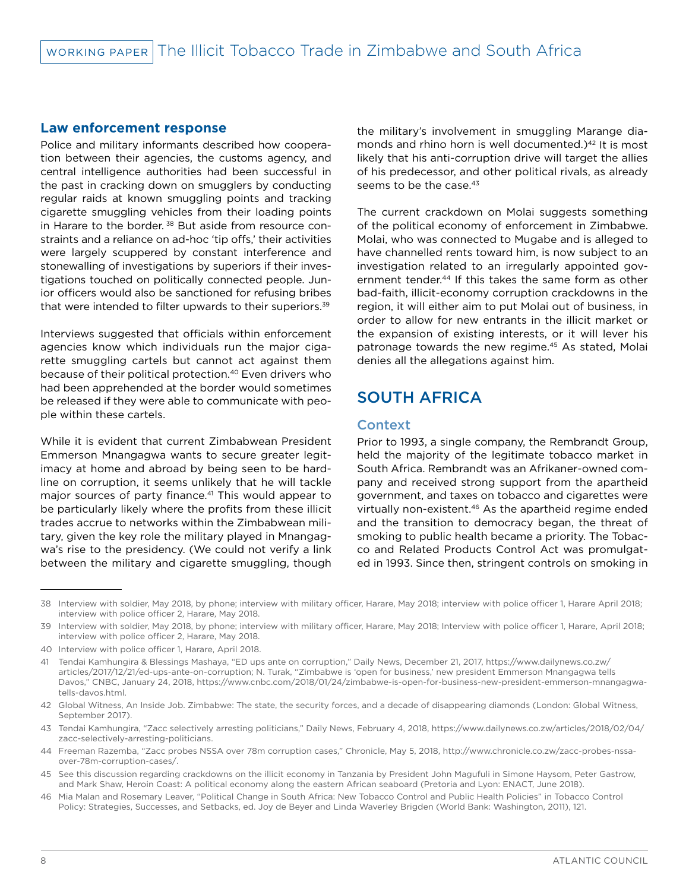#### **Law enforcement response**

Police and military informants described how cooperation between their agencies, the customs agency, and central intelligence authorities had been successful in the past in cracking down on smugglers by conducting regular raids at known smuggling points and tracking cigarette smuggling vehicles from their loading points in Harare to the border. 38 But aside from resource constraints and a reliance on ad-hoc 'tip offs,' their activities were largely scuppered by constant interference and stonewalling of investigations by superiors if their investigations touched on politically connected people. Junior officers would also be sanctioned for refusing bribes that were intended to filter upwards to their superiors.<sup>39</sup>

Interviews suggested that officials within enforcement agencies know which individuals run the major cigarette smuggling cartels but cannot act against them because of their political protection.<sup>40</sup> Even drivers who had been apprehended at the border would sometimes be released if they were able to communicate with people within these cartels.

While it is evident that current Zimbabwean President Emmerson Mnangagwa wants to secure greater legitimacy at home and abroad by being seen to be hardline on corruption, it seems unlikely that he will tackle major sources of party finance.<sup>41</sup> This would appear to be particularly likely where the profits from these illicit trades accrue to networks within the Zimbabwean military, given the key role the military played in Mnangagwa's rise to the presidency. (We could not verify a link between the military and cigarette smuggling, though

the military's involvement in smuggling Marange diamonds and rhino horn is well documented.)<sup>42</sup> It is most likely that his anti-corruption drive will target the allies of his predecessor, and other political rivals, as already seems to be the case.<sup>43</sup>

The current crackdown on Molai suggests something of the political economy of enforcement in Zimbabwe. Molai, who was connected to Mugabe and is alleged to have channelled rents toward him, is now subject to an investigation related to an irregularly appointed government tender.<sup>44</sup> If this takes the same form as other bad-faith, illicit-economy corruption crackdowns in the region, it will either aim to put Molai out of business, in order to allow for new entrants in the illicit market or the expansion of existing interests, or it will lever his patronage towards the new regime.45 As stated, Molai denies all the allegations against him.

# SOUTH AFRICA

#### Context

Prior to 1993, a single company, the Rembrandt Group, held the majority of the legitimate tobacco market in South Africa. Rembrandt was an Afrikaner-owned company and received strong support from the apartheid government, and taxes on tobacco and cigarettes were virtually non-existent.<sup>46</sup> As the apartheid regime ended and the transition to democracy began, the threat of smoking to public health became a priority. The Tobacco and Related Products Control Act was promulgated in 1993. Since then, stringent controls on smoking in

46 Mia Malan and Rosemary Leaver, "Political Change in South Africa: New Tobacco Control and Public Health Policies" in Tobacco Control Policy: Strategies, Successes, and Setbacks, ed. Joy de Beyer and Linda Waverley Brigden (World Bank: Washington, 2011), 121.

<sup>38</sup> Interview with soldier, May 2018, by phone; interview with military officer, Harare, May 2018; interview with police officer 1, Harare April 2018; interview with police officer 2, Harare, May 2018.

<sup>39</sup> Interview with soldier, May 2018, by phone; interview with military officer, Harare, May 2018; Interview with police officer 1, Harare, April 2018; interview with police officer 2, Harare, May 2018.

<sup>40</sup> Interview with police officer 1, Harare, April 2018.

<sup>41</sup> Tendai Kamhungira & Blessings Mashaya, "ED ups ante on corruption," Daily News, December 21, 2017, [https://www.dailynews.co.zw/](https://www.dailynews.co.zw/articles/2017/12/21/ed-ups-ante-on-corruption) [articles/2017/12/21/ed-ups-ante-on-corruption](https://www.dailynews.co.zw/articles/2017/12/21/ed-ups-ante-on-corruption); N. Turak, "Zimbabwe is 'open for business,' new president Emmerson Mnangagwa tells Davos," CNBC, January 24, 2018, [https://www.cnbc.com/2018/01/24/zimbabwe-is-open-for-business-new-president-emmerson-mnangagwa](https://www.cnbc.com/2018/01/24/zimbabwe-is-open-for-business-new-president-emmerson-mnangagwa-tells-davos.html)[tells-davos.html.](https://www.cnbc.com/2018/01/24/zimbabwe-is-open-for-business-new-president-emmerson-mnangagwa-tells-davos.html)

<sup>42</sup> Global Witness, An Inside Job. Zimbabwe: The state, the security forces, and a decade of disappearing diamonds (London: Global Witness, September 2017).

<sup>43</sup> Tendai Kamhungira, "Zacc selectively arresting politicians," Daily News, February 4, 2018, [https://www.dailynews.co.zw/articles/2018/02/04/](https://www.dailynews.co.zw/articles/2018/02/04/zacc-selectively-arresting-politicians) [zacc-selectively-arresting-politicians.](https://www.dailynews.co.zw/articles/2018/02/04/zacc-selectively-arresting-politicians)

<sup>44</sup> Freeman Razemba, "Zacc probes NSSA over 78m corruption cases," Chronicle, May 5, 2018, [http://www.chronicle.co.zw/zacc-probes-nssa](http://www.chronicle.co.zw/zacc-probes-nssa-over-78m-corruption-cases/)[over-78m-corruption-cases/.](http://www.chronicle.co.zw/zacc-probes-nssa-over-78m-corruption-cases/)

<sup>45</sup> See this discussion regarding crackdowns on the illicit economy in Tanzania by President John Magufuli in Simone Haysom, Peter Gastrow, and Mark Shaw, Heroin Coast: A political economy along the eastern African seaboard (Pretoria and Lyon: ENACT, June 2018).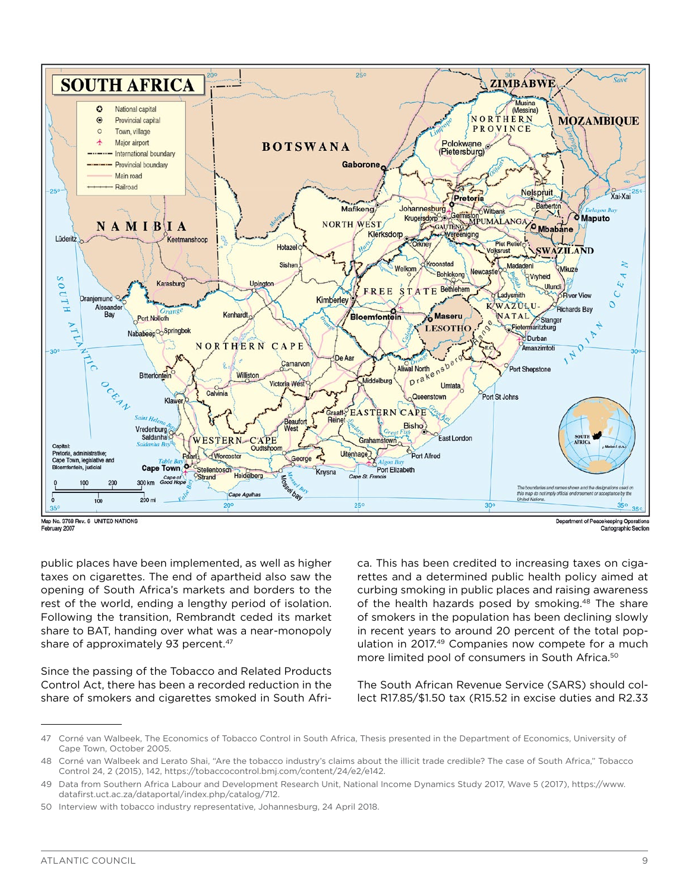

February 2007

Cartographic Section

public places have been implemented, as well as higher taxes on cigarettes. The end of apartheid also saw the opening of South Africa's markets and borders to the rest of the world, ending a lengthy period of isolation. Following the transition, Rembrandt ceded its market share to BAT, handing over what was a near-monopoly share of approximately 93 percent.<sup>47</sup>

Since the passing of the Tobacco and Related Products Control Act, there has been a recorded reduction in the share of smokers and cigarettes smoked in South Africa. This has been credited to increasing taxes on cigarettes and a determined public health policy aimed at curbing smoking in public places and raising awareness of the health hazards posed by smoking.<sup>48</sup> The share of smokers in the population has been declining slowly in recent years to around 20 percent of the total population in 2017.49 Companies now compete for a much more limited pool of consumers in South Africa.50

The South African Revenue Service (SARS) should collect R17.85/\$1.50 tax (R15.52 in excise duties and R2.33

<sup>47</sup> Corné van Walbeek, The Economics of Tobacco Control in South Africa, Thesis presented in the Department of Economics, University of Cape Town, October 2005.

<sup>48</sup> Corné van Walbeek and Lerato Shai, "Are the tobacco industry's claims about the illicit trade credible? The case of South Africa," Tobacco Control 24, 2 (2015), 142, https://tobaccocontrol.bmj.com/content/24/e2/e142.

<sup>49</sup> Data from Southern Africa Labour and Development Research Unit, National Income Dynamics Study 2017, Wave 5 (2017), [https://www.](https://www.datafirst.uct.ac.za/dataportal/index.php/catalog/712) [datafirst.uct.ac.za/dataportal/index.php/catalog/712.](https://www.datafirst.uct.ac.za/dataportal/index.php/catalog/712)

<sup>50</sup> Interview with tobacco industry representative, Johannesburg, 24 April 2018.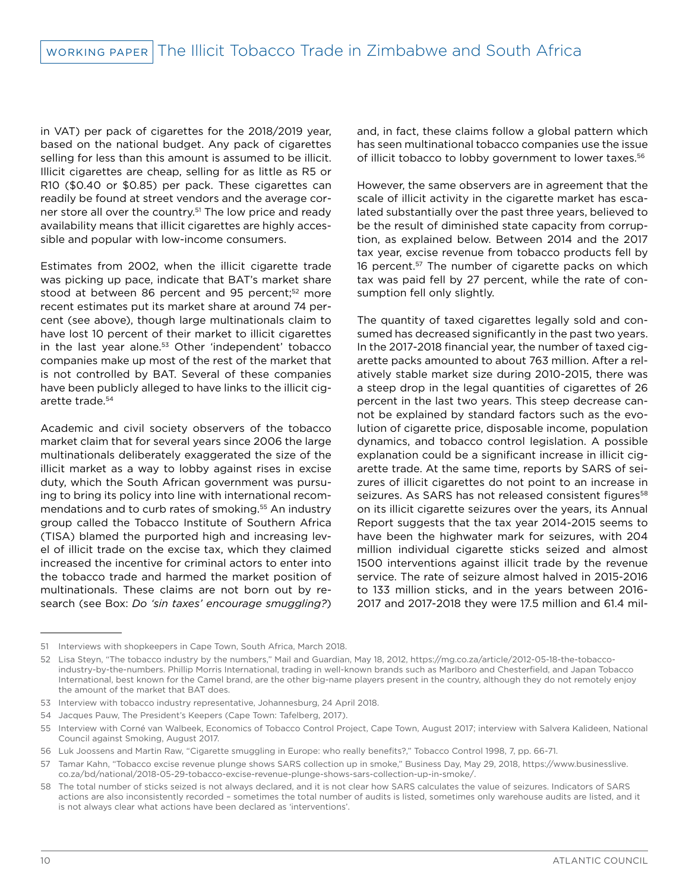in VAT) per pack of cigarettes for the 2018/2019 year, based on the national budget. Any pack of cigarettes selling for less than this amount is assumed to be illicit. Illicit cigarettes are cheap, selling for as little as R5 or R10 (\$0.40 or \$0.85) per pack. These cigarettes can readily be found at street vendors and the average corner store all over the country.<sup>51</sup> The low price and ready availability means that illicit cigarettes are highly accessible and popular with low-income consumers.

Estimates from 2002, when the illicit cigarette trade was picking up pace, indicate that BAT's market share stood at between 86 percent and 95 percent;<sup>52</sup> more recent estimates put its market share at around 74 percent (see above), though large multinationals claim to have lost 10 percent of their market to illicit cigarettes in the last year alone. $53$  Other 'independent' tobacco companies make up most of the rest of the market that is not controlled by BAT. Several of these companies have been publicly alleged to have links to the illicit cigarette trade.54

Academic and civil society observers of the tobacco market claim that for several years since 2006 the large multinationals deliberately exaggerated the size of the illicit market as a way to lobby against rises in excise duty, which the South African government was pursuing to bring its policy into line with international recommendations and to curb rates of smoking.<sup>55</sup> An industry group called the Tobacco Institute of Southern Africa (TISA) blamed the purported high and increasing level of illicit trade on the excise tax, which they claimed increased the incentive for criminal actors to enter into the tobacco trade and harmed the market position of multinationals. These claims are not born out by research (see Box: *Do 'sin taxes' encourage smuggling?*) and, in fact, these claims follow a global pattern which has seen multinational tobacco companies use the issue of illicit tobacco to lobby government to lower taxes.<sup>56</sup>

However, the same observers are in agreement that the scale of illicit activity in the cigarette market has escalated substantially over the past three years, believed to be the result of diminished state capacity from corruption, as explained below. Between 2014 and the 2017 tax year, excise revenue from tobacco products fell by 16 percent.<sup>57</sup> The number of cigarette packs on which tax was paid fell by 27 percent, while the rate of consumption fell only slightly.

The quantity of taxed cigarettes legally sold and consumed has decreased significantly in the past two years. In the 2017-2018 financial year, the number of taxed cigarette packs amounted to about 763 million. After a relatively stable market size during 2010-2015, there was a steep drop in the legal quantities of cigarettes of 26 percent in the last two years. This steep decrease cannot be explained by standard factors such as the evolution of cigarette price, disposable income, population dynamics, and tobacco control legislation. A possible explanation could be a significant increase in illicit cigarette trade. At the same time, reports by SARS of seizures of illicit cigarettes do not point to an increase in seizures. As SARS has not released consistent figures<sup>58</sup> on its illicit cigarette seizures over the years, its Annual Report suggests that the tax year 2014-2015 seems to have been the highwater mark for seizures, with 204 million individual cigarette sticks seized and almost 1500 interventions against illicit trade by the revenue service. The rate of seizure almost halved in 2015-2016 to 133 million sticks, and in the years between 2016- 2017 and 2017-2018 they were 17.5 million and 61.4 mil-

<sup>51</sup> Interviews with shopkeepers in Cape Town, South Africa, March 2018.

<sup>52</sup> Lisa Steyn, "The tobacco industry by the numbers," Mail and Guardian, May 18, 2012, [https://mg.co.za/article/2012-05-18-the-tobacco](https://mg.co.za/article/2012-05-18-the-tobacco-industry-by-the-numbers)[industry-by-the-numbers](https://mg.co.za/article/2012-05-18-the-tobacco-industry-by-the-numbers). Phillip Morris International, trading in well-known brands such as Marlboro and Chesterfield, and Japan Tobacco International, best known for the Camel brand, are the other big-name players present in the country, although they do not remotely enjoy the amount of the market that BAT does.

<sup>53</sup> Interview with tobacco industry representative, Johannesburg, 24 April 2018.

<sup>54</sup> Jacques Pauw, The President's Keepers (Cape Town: Tafelberg, 2017).

<sup>55</sup> Interview with Corné van Walbeek, Economics of Tobacco Control Project, Cape Town, August 2017; interview with Salvera Kalideen, National Council against Smoking, August 2017.

<sup>56</sup> Luk Joossens and Martin Raw, "Cigarette smuggling in Europe: who really benefits?," Tobacco Control 1998, 7, pp. 66-71.

<sup>57</sup> Tamar Kahn, "Tobacco excise revenue plunge shows SARS collection up in smoke," Business Day, May 29, 2018, https://www.businesslive. co.za/bd/national/2018-05-29-tobacco-excise-revenue-plunge-shows-sars-collection-up-in-smoke/.

<sup>58</sup> The total number of sticks seized is not always declared, and it is not clear how SARS calculates the value of seizures. Indicators of SARS actions are also inconsistently recorded – sometimes the total number of audits is listed, sometimes only warehouse audits are listed, and it is not always clear what actions have been declared as 'interventions'.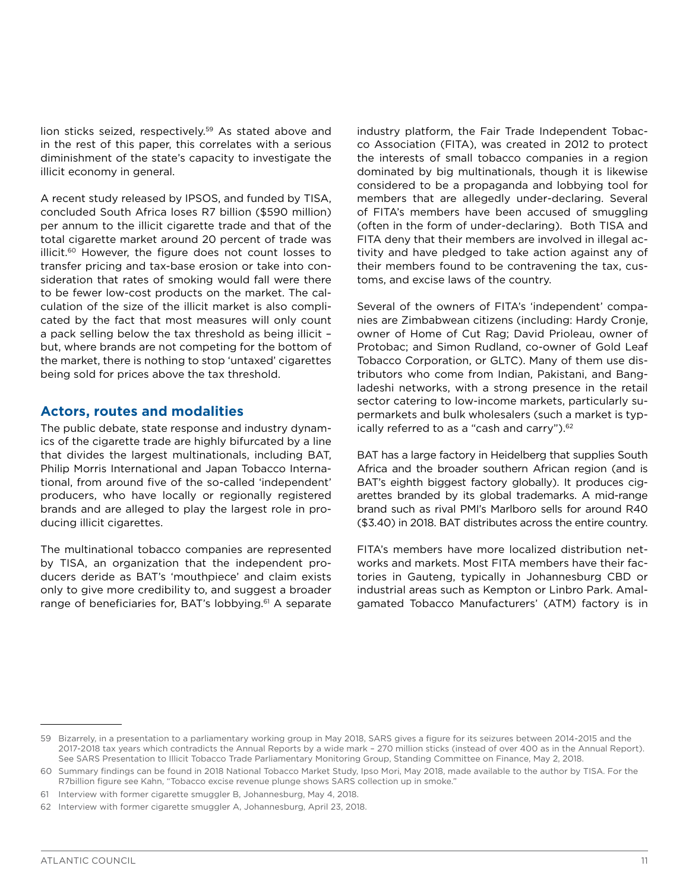lion sticks seized, respectively.<sup>59</sup> As stated above and in the rest of this paper, this correlates with a serious diminishment of the state's capacity to investigate the illicit economy in general.

A recent study released by IPSOS, and funded by TISA, concluded South Africa loses R7 billion (\$590 million) per annum to the illicit cigarette trade and that of the total cigarette market around 20 percent of trade was illicit.<sup>60</sup> However, the figure does not count losses to transfer pricing and tax-base erosion or take into consideration that rates of smoking would fall were there to be fewer low-cost products on the market. The calculation of the size of the illicit market is also complicated by the fact that most measures will only count a pack selling below the tax threshold as being illicit – but, where brands are not competing for the bottom of the market, there is nothing to stop 'untaxed' cigarettes being sold for prices above the tax threshold.

#### **Actors, routes and modalities**

The public debate, state response and industry dynamics of the cigarette trade are highly bifurcated by a line that divides the largest multinationals, including BAT, Philip Morris International and Japan Tobacco International, from around five of the so-called 'independent' producers, who have locally or regionally registered brands and are alleged to play the largest role in producing illicit cigarettes.

The multinational tobacco companies are represented by TISA, an organization that the independent producers deride as BAT's 'mouthpiece' and claim exists only to give more credibility to, and suggest a broader range of beneficiaries for, BAT's lobbying.<sup>61</sup> A separate industry platform, the Fair Trade Independent Tobacco Association (FITA), was created in 2012 to protect the interests of small tobacco companies in a region dominated by big multinationals, though it is likewise considered to be a propaganda and lobbying tool for members that are allegedly under-declaring. Several of FITA's members have been accused of smuggling (often in the form of under-declaring). Both TISA and FITA deny that their members are involved in illegal activity and have pledged to take action against any of their members found to be contravening the tax, customs, and excise laws of the country.

Several of the owners of FITA's 'independent' companies are Zimbabwean citizens (including: Hardy Cronje, owner of Home of Cut Rag; David Prioleau, owner of Protobac; and Simon Rudland, co-owner of Gold Leaf Tobacco Corporation, or GLTC). Many of them use distributors who come from Indian, Pakistani, and Bangladeshi networks, with a strong presence in the retail sector catering to low-income markets, particularly supermarkets and bulk wholesalers (such a market is typically referred to as a "cash and carry").<sup>62</sup>

BAT has a large factory in Heidelberg that supplies South Africa and the broader southern African region (and is BAT's eighth biggest factory globally). It produces cigarettes branded by its global trademarks. A mid-range brand such as rival PMI's Marlboro sells for around R40 (\$3.40) in 2018. BAT distributes across the entire country.

FITA's members have more localized distribution networks and markets. Most FITA members have their factories in Gauteng, typically in Johannesburg CBD or industrial areas such as Kempton or Linbro Park. Amalgamated Tobacco Manufacturers' (ATM) factory is in

<sup>59</sup> Bizarrely, in a presentation to a parliamentary working group in May 2018, SARS gives a figure for its seizures between 2014-2015 and the 2017-2018 tax years which contradicts the Annual Reports by a wide mark – 270 million sticks (instead of over 400 as in the Annual Report). See SARS Presentation to Illicit Tobacco Trade Parliamentary Monitoring Group, Standing Committee on Finance, May 2, 2018.

<sup>60</sup> Summary findings can be found in 2018 National Tobacco Market Study, Ipso Mori, May 2018, made available to the author by TISA. For the R7billion figure see Kahn, "Tobacco excise revenue plunge shows SARS collection up in smoke."

<sup>61</sup> Interview with former cigarette smuggler B, Johannesburg, May 4, 2018.

<sup>62</sup> Interview with former cigarette smuggler A, Johannesburg, April 23, 2018.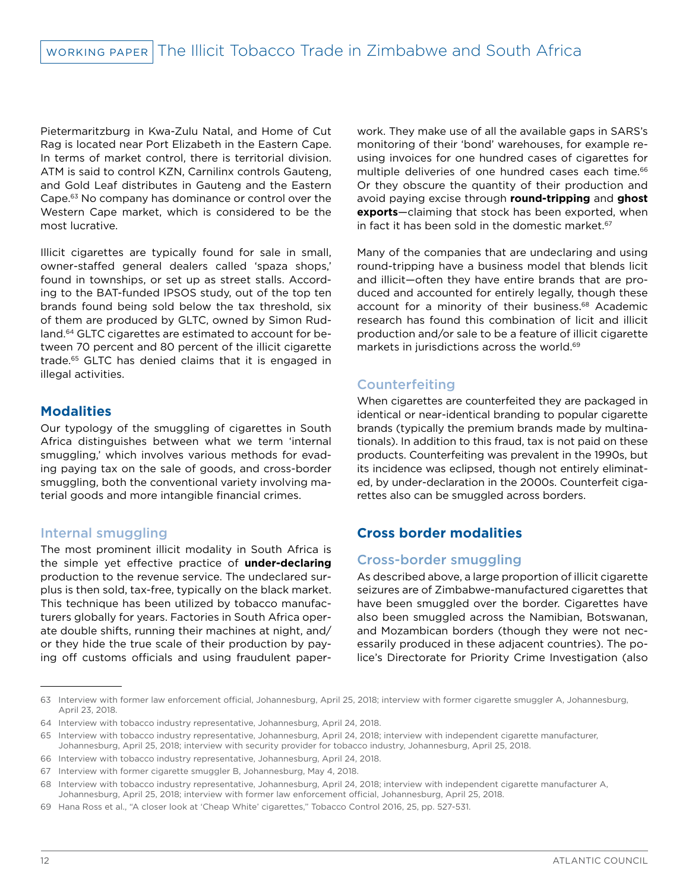Pietermaritzburg in Kwa-Zulu Natal, and Home of Cut Rag is located near Port Elizabeth in the Eastern Cape. In terms of market control, there is territorial division. ATM is said to control KZN, Carnilinx controls Gauteng, and Gold Leaf distributes in Gauteng and the Eastern Cape.63 No company has dominance or control over the Western Cape market, which is considered to be the most lucrative.

Illicit cigarettes are typically found for sale in small, owner-staffed general dealers called 'spaza shops,' found in townships, or set up as street stalls. According to the BAT-funded IPSOS study, out of the top ten brands found being sold below the tax threshold, six of them are produced by GLTC, owned by Simon Rudland.<sup>64</sup> GLTC cigarettes are estimated to account for between 70 percent and 80 percent of the illicit cigarette trade.65 GLTC has denied claims that it is engaged in illegal activities.

## **Modalities**

Our typology of the smuggling of cigarettes in South Africa distinguishes between what we term 'internal smuggling,' which involves various methods for evading paying tax on the sale of goods, and cross-border smuggling, both the conventional variety involving material goods and more intangible financial crimes.

## Internal smuggling

The most prominent illicit modality in South Africa is the simple yet effective practice of **under-declaring** production to the revenue service. The undeclared surplus is then sold, tax-free, typically on the black market. This technique has been utilized by tobacco manufacturers globally for years. Factories in South Africa operate double shifts, running their machines at night, and/ or they hide the true scale of their production by paying off customs officials and using fraudulent paperwork. They make use of all the available gaps in SARS's monitoring of their 'bond' warehouses, for example reusing invoices for one hundred cases of cigarettes for multiple deliveries of one hundred cases each time.<sup>66</sup> Or they obscure the quantity of their production and avoid paying excise through **round-tripping** and **ghost exports**—claiming that stock has been exported, when in fact it has been sold in the domestic market.<sup>67</sup>

Many of the companies that are undeclaring and using round-tripping have a business model that blends licit and illicit—often they have entire brands that are produced and accounted for entirely legally, though these account for a minority of their business.<sup>68</sup> Academic research has found this combination of licit and illicit production and/or sale to be a feature of illicit cigarette markets in jurisdictions across the world.<sup>69</sup>

## Counterfeiting

When cigarettes are counterfeited they are packaged in identical or near-identical branding to popular cigarette brands (typically the premium brands made by multinationals). In addition to this fraud, tax is not paid on these products. Counterfeiting was prevalent in the 1990s, but its incidence was eclipsed, though not entirely eliminated, by under-declaration in the 2000s. Counterfeit cigarettes also can be smuggled across borders.

# **Cross border modalities**

# Cross-border smuggling

As described above, a large proportion of illicit cigarette seizures are of Zimbabwe-manufactured cigarettes that have been smuggled over the border. Cigarettes have also been smuggled across the Namibian, Botswanan, and Mozambican borders (though they were not necessarily produced in these adjacent countries). The police's Directorate for Priority Crime Investigation (also

<sup>63</sup> Interview with former law enforcement official, Johannesburg, April 25, 2018; interview with former cigarette smuggler A, Johannesburg, April 23, 2018.

<sup>64</sup> Interview with tobacco industry representative, Johannesburg, April 24, 2018.

<sup>65</sup> Interview with tobacco industry representative, Johannesburg, April 24, 2018; interview with independent cigarette manufacturer, Johannesburg, April 25, 2018; interview with security provider for tobacco industry, Johannesburg, April 25, 2018.

<sup>66</sup> Interview with tobacco industry representative, Johannesburg, April 24, 2018.

<sup>67</sup> Interview with former cigarette smuggler B, Johannesburg, May 4, 2018.

<sup>68</sup> Interview with tobacco industry representative, Johannesburg, April 24, 2018; interview with independent cigarette manufacturer A, Johannesburg, April 25, 2018; interview with former law enforcement official, Johannesburg, April 25, 2018.

<sup>69</sup> Hana Ross et al., "A closer look at 'Cheap White' cigarettes," Tobacco Control 2016, 25, pp. 527-531.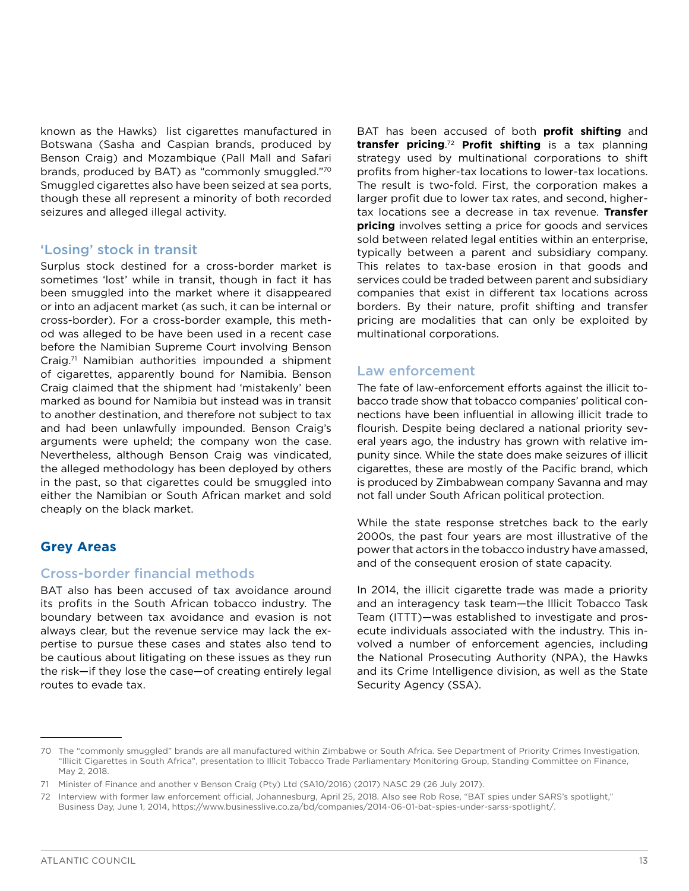known as the Hawks) list cigarettes manufactured in Botswana (Sasha and Caspian brands, produced by Benson Craig) and Mozambique (Pall Mall and Safari brands, produced by BAT) as "commonly smuggled."70 Smuggled cigarettes also have been seized at sea ports, though these all represent a minority of both recorded seizures and alleged illegal activity.

#### 'Losing' stock in transit

Surplus stock destined for a cross-border market is sometimes 'lost' while in transit, though in fact it has been smuggled into the market where it disappeared or into an adjacent market (as such, it can be internal or cross-border). For a cross-border example, this method was alleged to be have been used in a recent case before the Namibian Supreme Court involving Benson Craig.71 Namibian authorities impounded a shipment of cigarettes, apparently bound for Namibia. Benson Craig claimed that the shipment had 'mistakenly' been marked as bound for Namibia but instead was in transit to another destination, and therefore not subject to tax and had been unlawfully impounded. Benson Craig's arguments were upheld; the company won the case. Nevertheless, although Benson Craig was vindicated, the alleged methodology has been deployed by others in the past, so that cigarettes could be smuggled into either the Namibian or South African market and sold cheaply on the black market.

#### **Grey Areas**

#### Cross-border financial methods

BAT also has been accused of tax avoidance around its profits in the South African tobacco industry. The boundary between tax avoidance and evasion is not always clear, but the revenue service may lack the expertise to pursue these cases and states also tend to be cautious about litigating on these issues as they run the risk—if they lose the case—of creating entirely legal routes to evade tax.

BAT has been accused of both **profit shifting** and **transfer pricing**. <sup>72</sup> **Profit shifting** is a tax planning strategy used by multinational corporations to shift profits from higher-tax locations to lower-tax locations. The result is two-fold. First, the corporation makes a larger profit due to lower tax rates, and second, highertax locations see a decrease in tax revenue. **Transfer pricing** involves setting a price for goods and services sold between related legal entities within an enterprise, typically between a parent and subsidiary company. This relates to tax-base erosion in that goods and services could be traded between parent and subsidiary companies that exist in different tax locations across borders. By their nature, profit shifting and transfer pricing are modalities that can only be exploited by multinational corporations.

#### Law enforcement

The fate of law-enforcement efforts against the illicit tobacco trade show that tobacco companies' political connections have been influential in allowing illicit trade to flourish. Despite being declared a national priority several years ago, the industry has grown with relative impunity since. While the state does make seizures of illicit cigarettes, these are mostly of the Pacific brand, which is produced by Zimbabwean company Savanna and may not fall under South African political protection.

While the state response stretches back to the early 2000s, the past four years are most illustrative of the power that actors in the tobacco industry have amassed, and of the consequent erosion of state capacity.

In 2014, the illicit cigarette trade was made a priority and an interagency task team—the Illicit Tobacco Task Team (ITTT)—was established to investigate and prosecute individuals associated with the industry. This involved a number of enforcement agencies, including the National Prosecuting Authority (NPA), the Hawks and its Crime Intelligence division, as well as the State Security Agency (SSA).

<sup>70</sup> The "commonly smuggled" brands are all manufactured within Zimbabwe or South Africa. See Department of Priority Crimes Investigation, "Illicit Cigarettes in South Africa", presentation to Illicit Tobacco Trade Parliamentary Monitoring Group, Standing Committee on Finance, May 2, 2018.

<sup>71</sup> Minister of Finance and another v Benson Craig (Pty) Ltd (SA10/2016) (2017) NASC 29 (26 July 2017).

<sup>72</sup> Interview with former law enforcement official, Johannesburg, April 25, 2018. Also see Rob Rose, "BAT spies under SARS's spotlight," Business Day, June 1, 2014, https://www.businesslive.co.za/bd/companies/2014-06-01-bat-spies-under-sarss-spotlight/.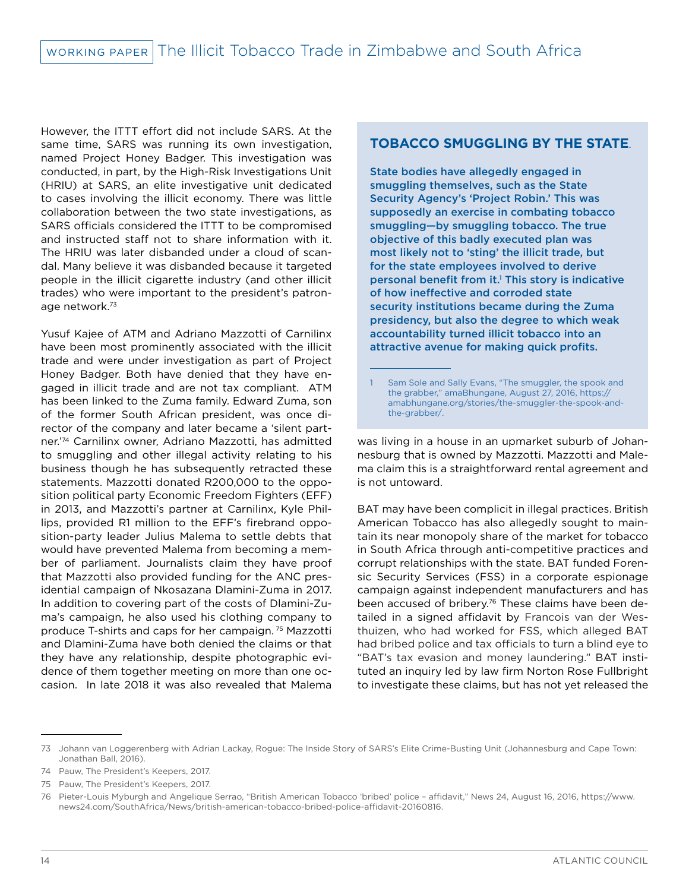However, the ITTT effort did not include SARS. At the same time, SARS was running its own investigation, named Project Honey Badger. This investigation was conducted, in part, by the High-Risk Investigations Unit (HRIU) at SARS, an elite investigative unit dedicated to cases involving the illicit economy. There was little collaboration between the two state investigations, as SARS officials considered the ITTT to be compromised and instructed staff not to share information with it. The HRIU was later disbanded under a cloud of scandal. Many believe it was disbanded because it targeted people in the illicit cigarette industry (and other illicit trades) who were important to the president's patronage network.73

Yusuf Kajee of ATM and Adriano Mazzotti of Carnilinx have been most prominently associated with the illicit trade and were under investigation as part of Project Honey Badger. Both have denied that they have engaged in illicit trade and are not tax compliant. ATM has been linked to the Zuma family. Edward Zuma, son of the former South African president, was once director of the company and later became a 'silent partner.'74 Carnilinx owner, Adriano Mazzotti, has admitted to smuggling and other illegal activity relating to his business though he has subsequently retracted these statements. Mazzotti donated R200,000 to the opposition political party Economic Freedom Fighters (EFF) in 2013, and Mazzotti's partner at Carnilinx, Kyle Phillips, provided R1 million to the EFF's firebrand opposition-party leader Julius Malema to settle debts that would have prevented Malema from becoming a member of parliament. Journalists claim they have proof that Mazzotti also provided funding for the ANC presidential campaign of Nkosazana Dlamini-Zuma in 2017. In addition to covering part of the costs of Dlamini-Zuma's campaign, he also used his clothing company to produce T-shirts and caps for her campaign. 75 Mazzotti and Dlamini-Zuma have both denied the claims or that they have any relationship, despite photographic evidence of them together meeting on more than one occasion. In late 2018 it was also revealed that Malema

#### **TOBACCO SMUGGLING BY THE STATE**.

State bodies have allegedly engaged in smuggling themselves, such as the State Security Agency's 'Project Robin.' This was supposedly an exercise in combating tobacco smuggling—by smuggling tobacco. The true objective of this badly executed plan was most likely not to 'sting' the illicit trade, but for the state employees involved to derive personal benefit from it.<sup>1</sup> This story is indicative of how ineffective and corroded state security institutions became during the Zuma presidency, but also the degree to which weak accountability turned illicit tobacco into an attractive avenue for making quick profits.

was living in a house in an upmarket suburb of Johannesburg that is owned by Mazzotti. Mazzotti and Malema claim this is a straightforward rental agreement and is not untoward.

BAT may have been complicit in illegal practices. British American Tobacco has also allegedly sought to maintain its near monopoly share of the market for tobacco in South Africa through anti-competitive practices and corrupt relationships with the state. BAT funded Forensic Security Services (FSS) in a corporate espionage campaign against independent manufacturers and has been accused of bribery.<sup>76</sup> These claims have been detailed in a signed affidavit by Francois van der Westhuizen, who had worked for FSS, which alleged BAT had bribed police and tax officials to turn a blind eye to "BAT's tax evasion and money laundering." BAT instituted an inquiry led by law firm Norton Rose Fullbright to investigate these claims, but has not yet released the

Sam Sole and Sally Evans, "The smuggler, the spook and the grabber," amaBhungane, August 27, 2016, https:// amabhungane.org/stories/the-smuggler-the-spook-andthe-grabber/.

<sup>73</sup> Johann van Loggerenberg with Adrian Lackay, Rogue: The Inside Story of SARS's Elite Crime-Busting Unit (Johannesburg and Cape Town: Jonathan Ball, 2016).

<sup>74</sup> Pauw, The President's Keepers, 2017.

<sup>75</sup> Pauw, The President's Keepers, 2017.

<sup>76</sup> Pieter-Louis Myburgh and Angelique Serrao, "British American Tobacco 'bribed' police – affidavit," News 24, August 16, 2016, https://www. news24.com/SouthAfrica/News/british-american-tobacco-bribed-police-affidavit-20160816.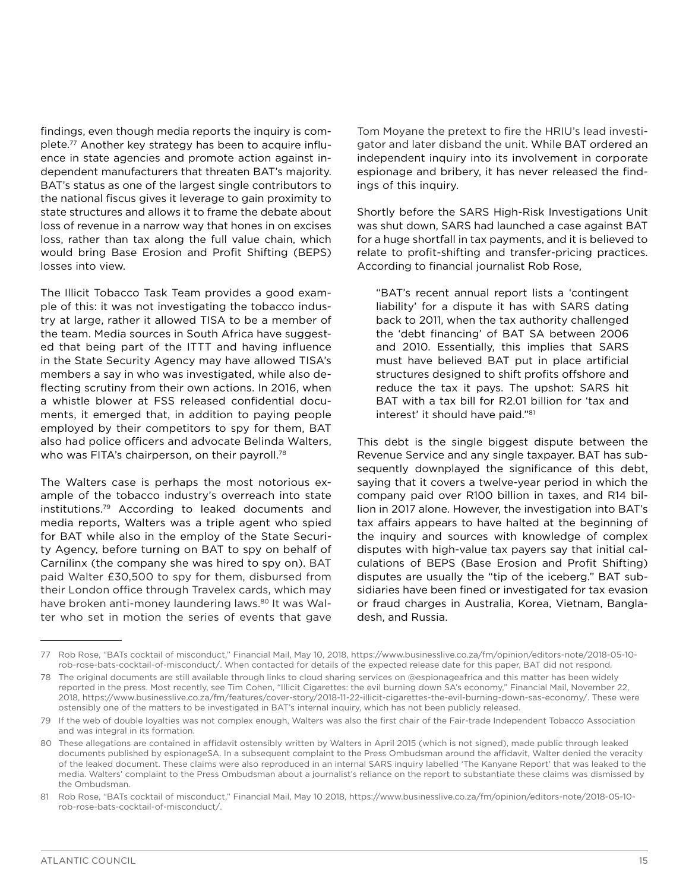findings, even though media reports the inquiry is complete.77 Another key strategy has been to acquire influence in state agencies and promote action against independent manufacturers that threaten BAT's majority. BAT's status as one of the largest single contributors to the national fiscus gives it leverage to gain proximity to state structures and allows it to frame the debate about loss of revenue in a narrow way that hones in on excises loss, rather than tax along the full value chain, which would bring Base Erosion and Profit Shifting (BEPS) losses into view.

The Illicit Tobacco Task Team provides a good example of this: it was not investigating the tobacco industry at large, rather it allowed TISA to be a member of the team. Media sources in South Africa have suggested that being part of the ITTT and having influence in the State Security Agency may have allowed TISA's members a say in who was investigated, while also deflecting scrutiny from their own actions. In 2016, when a whistle blower at FSS released confidential documents, it emerged that, in addition to paying people employed by their competitors to spy for them, BAT also had police officers and advocate Belinda Walters, who was FITA's chairperson, on their payroll.<sup>78</sup>

The Walters case is perhaps the most notorious example of the tobacco industry's overreach into state institutions.79 According to leaked documents and media reports, Walters was a triple agent who spied for BAT while also in the employ of the State Security Agency, before turning on BAT to spy on behalf of Carnilinx (the company she was hired to spy on). BAT paid Walter £30,500 to spy for them, disbursed from their London office through Travelex cards, which may have broken anti-money laundering laws.<sup>80</sup> It was Walter who set in motion the series of events that gave Tom Moyane the pretext to fire the HRIU's lead investigator and later disband the unit. While BAT ordered an independent inquiry into its involvement in corporate espionage and bribery, it has never released the findings of this inquiry.

Shortly before the SARS High-Risk Investigations Unit was shut down, SARS had launched a case against BAT for a huge shortfall in tax payments, and it is believed to relate to profit-shifting and transfer-pricing practices. According to financial journalist Rob Rose,

"BAT's recent annual report lists a 'contingent liability' for a dispute it has with SARS dating back to 2011, when the tax authority challenged the 'debt financing' of BAT SA between 2006 and 2010. Essentially, this implies that SARS must have believed BAT put in place artificial structures designed to shift profits offshore and reduce the tax it pays. The upshot: SARS hit BAT with a tax bill for R2.01 billion for 'tax and interest' it should have paid."81

This debt is the single biggest dispute between the Revenue Service and any single taxpayer. BAT has subsequently downplayed the significance of this debt, saying that it covers a twelve-year period in which the company paid over R100 billion in taxes, and R14 billion in 2017 alone. However, the investigation into BAT's tax affairs appears to have halted at the beginning of the inquiry and sources with knowledge of complex disputes with high-value tax payers say that initial calculations of BEPS (Base Erosion and Profit Shifting) disputes are usually the "tip of the iceberg." BAT subsidiaries have been fined or investigated for tax evasion or fraud charges in Australia, Korea, Vietnam, Bangladesh, and Russia.

<sup>77</sup> Rob Rose, "BATs cocktail of misconduct," Financial Mail, May 10, 2018, [https://www.businesslive.co.za/fm/opinion/editors-note/2018-05-10](https://www.businesslive.co.za/fm/opinion/editors-note/2018-05-10-rob-rose-bats-cocktail-of-misconduct/) [rob-rose-bats-cocktail-of-misconduct/.](https://www.businesslive.co.za/fm/opinion/editors-note/2018-05-10-rob-rose-bats-cocktail-of-misconduct/) When contacted for details of the expected release date for this paper, BAT did not respond.

<sup>78</sup> The original documents are still available through links to cloud sharing services on @espionageafrica and this matter has been widely reported in the press. Most recently, see Tim Cohen, "Illicit Cigarettes: the evil burning down SA's economy," Financial Mail, November 22, 2018, https://www.businesslive.co.za/fm/features/cover-story/2018-11-22-illicit-cigarettes-the-evil-burning-down-sas-economy/. These were ostensibly one of the matters to be investigated in BAT's internal inquiry, which has not been publicly released.

<sup>79</sup> If the web of double loyalties was not complex enough, Walters was also the first chair of the Fair-trade Independent Tobacco Association and was integral in its formation.

<sup>80</sup> These allegations are contained in affidavit ostensibly written by Walters in April 2015 (which is not signed), made public through leaked documents published by espionageSA. In a subsequent [complaint to the Press Ombudsman](http://www.presscouncil.org.za/Ruling/View/belinda-walter-vs-daily-maverick-4018) around the affidavit, Walter denied the veracity of the leaked document. These claims were also reproduced in an internal SARS inquiry labelled 'The Kanyane Report' that was leaked to the media. Walters' complaint to the Press Ombudsman about a journalist's reliance on the report to substantiate these claims was dismissed by the Ombudsman.

<sup>81</sup> Rob Rose, "BATs cocktail of misconduct," Financial Mail, May 10 2018, https://www.businesslive.co.za/fm/opinion/editors-note/2018-05-10 rob-rose-bats-cocktail-of-misconduct/.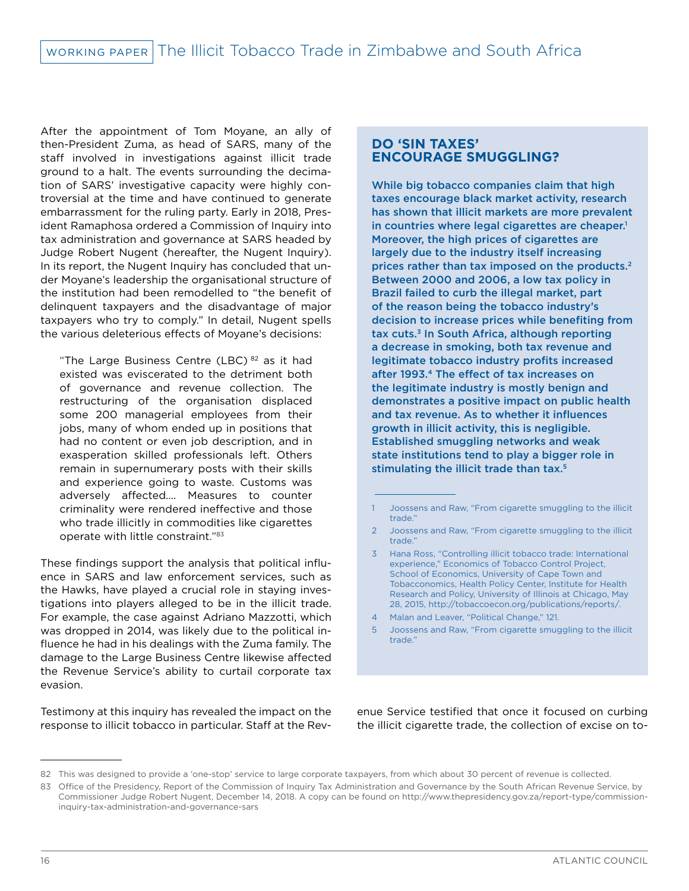After the appointment of Tom Moyane, an ally of then-President Zuma, as head of SARS, many of the staff involved in investigations against illicit trade ground to a halt. The events surrounding the decimation of SARS' investigative capacity were highly controversial at the time and have continued to generate embarrassment for the ruling party. Early in 2018, President Ramaphosa ordered a Commission of Inquiry into tax administration and governance at SARS headed by Judge Robert Nugent (hereafter, the Nugent Inquiry). In its report, the Nugent Inquiry has concluded that under Moyane's leadership the organisational structure of the institution had been remodelled to "the benefit of delinquent taxpayers and the disadvantage of major taxpayers who try to comply." In detail, Nugent spells the various deleterious effects of Moyane's decisions:

"The Large Business Centre (LBC) 82 as it had existed was eviscerated to the detriment both of governance and revenue collection. The restructuring of the organisation displaced some 200 managerial employees from their jobs, many of whom ended up in positions that had no content or even job description, and in exasperation skilled professionals left. Others remain in supernumerary posts with their skills and experience going to waste. Customs was adversely affected…. Measures to counter criminality were rendered ineffective and those who trade illicitly in commodities like cigarettes operate with little constraint."83

These findings support the analysis that political influence in SARS and law enforcement services, such as the Hawks, have played a crucial role in staying investigations into players alleged to be in the illicit trade. For example, the case against Adriano Mazzotti, which was dropped in 2014, was likely due to the political influence he had in his dealings with the Zuma family. The damage to the Large Business Centre likewise affected the Revenue Service's ability to curtail corporate tax evasion.

Testimony at this inquiry has revealed the impact on the response to illicit tobacco in particular. Staff at the Rev-

#### **DO 'SIN TAXES' ENCOURAGE SMUGGLING?**

While big tobacco companies claim that high taxes encourage black market activity, research has shown that illicit markets are more prevalent in countries where legal cigarettes are cheaper.<sup>1</sup> Moreover, the high prices of cigarettes are largely due to the industry itself increasing prices rather than tax imposed on the products.2 Between 2000 and 2006, a low tax policy in Brazil failed to curb the illegal market, part of the reason being the tobacco industry's decision to increase prices while benefiting from tax cuts.<sup>3</sup> In South Africa, although reporting a decrease in smoking, both tax revenue and legitimate tobacco industry profits increased after 1993.4 The effect of tax increases on the legitimate industry is mostly benign and demonstrates a positive impact on public health and tax revenue. As to whether it influences growth in illicit activity, this is negligible. Established smuggling networks and weak state institutions tend to play a bigger role in stimulating the illicit trade than tax.<sup>5</sup>

4 Malan and Leaver, "Political Change," 121.

5 Joossens and Raw, "From cigarette smuggling to the illicit trade."

enue Service testified that once it focused on curbing the illicit cigarette trade, the collection of excise on to-

<sup>1</sup> Joossens and Raw, "From cigarette smuggling to the illicit trade."

<sup>2</sup> Joossens and Raw, "From cigarette smuggling to the illicit trade."

<sup>3</sup> Hana Ross, "Controlling illicit tobacco trade: International experience," Economics of Tobacco Control Project, School of Economics, University of Cape Town and Tobacconomics, Health Policy Center, Institute for Health Research and Policy, University of Illinois at Chicago, May 28, 2015, <http://tobaccoecon.org/publications/reports/>.

<sup>82</sup> This was designed to provide a 'one-stop' service to large corporate taxpayers, from which about 30 percent of revenue is collected.

<sup>83</sup> Office of the Presidency, Report of the Commission of Inquiry Tax Administration and Governance by the South African Revenue Service, by Commissioner Judge Robert Nugent, December 14, 2018. A copy can be found on http://www.thepresidency.gov.za/report-type/commissioninquiry-tax-administration-and-governance-sars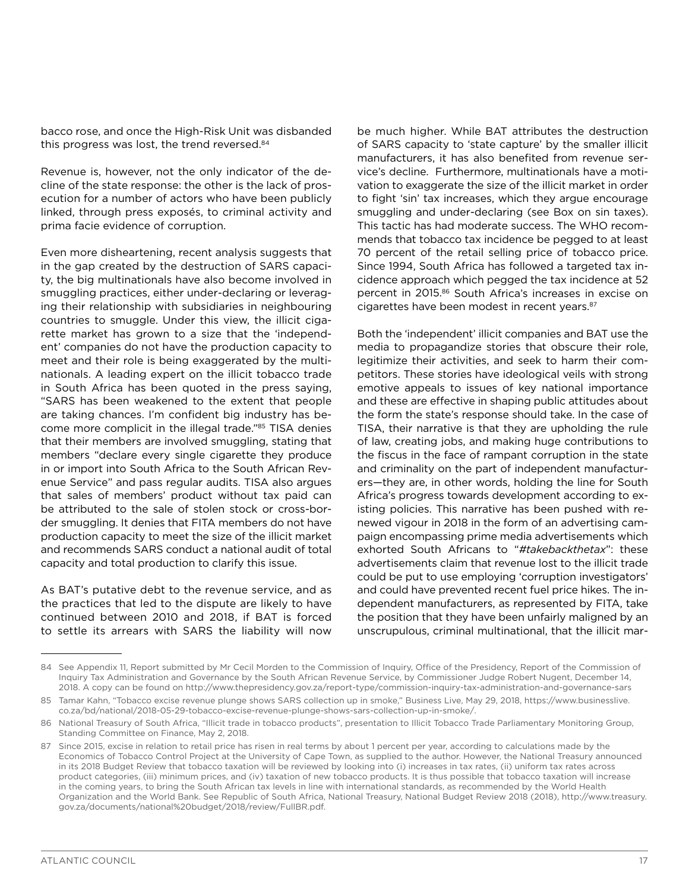bacco rose, and once the High-Risk Unit was disbanded this progress was lost, the trend reversed.<sup>84</sup>

Revenue is, however, not the only indicator of the decline of the state response: the other is the lack of prosecution for a number of actors who have been publicly linked, through press exposés, to criminal activity and prima facie evidence of corruption.

Even more disheartening, recent analysis suggests that in the gap created by the destruction of SARS capacity, the big multinationals have also become involved in smuggling practices, either under-declaring or leveraging their relationship with subsidiaries in neighbouring countries to smuggle. Under this view, the illicit cigarette market has grown to a size that the 'independent' companies do not have the production capacity to meet and their role is being exaggerated by the multinationals. A leading expert on the illicit tobacco trade in South Africa has been quoted in the press saying, "SARS has been weakened to the extent that people are taking chances. I'm confident big industry has become more complicit in the illegal trade."85 TISA denies that their members are involved smuggling, stating that members "declare every single cigarette they produce in or import into South Africa to the South African Revenue Service" and pass regular audits. TISA also argues that sales of members' product without tax paid can be attributed to the sale of stolen stock or cross-border smuggling. It denies that FITA members do not have production capacity to meet the size of the illicit market and recommends SARS conduct a national audit of total capacity and total production to clarify this issue.

As BAT's putative debt to the revenue service, and as the practices that led to the dispute are likely to have continued between 2010 and 2018, if BAT is forced to settle its arrears with SARS the liability will now

be much higher. While BAT attributes the destruction of SARS capacity to 'state capture' by the smaller illicit manufacturers, it has also benefited from revenue service's decline. Furthermore, multinationals have a motivation to exaggerate the size of the illicit market in order to fight 'sin' tax increases, which they argue encourage smuggling and under-declaring (see Box on sin taxes). This tactic has had moderate success. The WHO recommends that tobacco tax incidence be pegged to at least 70 percent of the retail selling price of tobacco price. Since 1994, South Africa has followed a targeted tax incidence approach which pegged the tax incidence at 52 percent in 2015.<sup>86</sup> South Africa's increases in excise on cigarettes have been modest in recent years.<sup>87</sup>

Both the 'independent' illicit companies and BAT use the media to propagandize stories that obscure their role, legitimize their activities, and seek to harm their competitors. These stories have ideological veils with strong emotive appeals to issues of key national importance and these are effective in shaping public attitudes about the form the state's response should take. In the case of TISA, their narrative is that they are upholding the rule of law, creating jobs, and making huge contributions to the fiscus in the face of rampant corruption in the state and criminality on the part of independent manufacturers—they are, in other words, holding the line for South Africa's progress towards development according to existing policies. This narrative has been pushed with renewed vigour in 2018 in the form of an advertising campaign encompassing prime media advertisements which exhorted South Africans to "*#takebackthetax*": these advertisements claim that revenue lost to the illicit trade could be put to use employing 'corruption investigators' and could have prevented recent fuel price hikes. The independent manufacturers, as represented by FITA, take the position that they have been unfairly maligned by an unscrupulous, criminal multinational, that the illicit mar-

<sup>84</sup> See Appendix 11, Report submitted by Mr Cecil Morden to the Commission of Inquiry, Office of the Presidency, Report of the Commission of Inquiry Tax Administration and Governance by the South African Revenue Service, by Commissioner Judge Robert Nugent, December 14, 2018. A copy can be found on http://www.thepresidency.gov.za/report-type/commission-inquiry-tax-administration-and-governance-sars

<sup>85</sup> Tamar Kahn, "Tobacco excise revenue plunge shows SARS collection up in smoke," Business Live, May 29, 2018, https://www.businesslive. co.za/bd/national/2018-05-29-tobacco-excise-revenue-plunge-shows-sars-collection-up-in-smoke/.

<sup>86</sup> National Treasury of South Africa, "Illicit trade in tobacco products", presentation to Illicit Tobacco Trade Parliamentary Monitoring Group, Standing Committee on Finance, May 2, 2018.

<sup>87</sup> Since 2015, excise in relation to retail price has risen in real terms by about 1 percent per year, according to calculations made by the Economics of Tobacco Control Project at the University of Cape Town, as supplied to the author. However, the National Treasury announced in its 2018 Budget Review that tobacco taxation will be reviewed by looking into (i) increases in tax rates, (ii) uniform tax rates across product categories, (iii) minimum prices, and (iv) taxation of new tobacco products. It is thus possible that tobacco taxation will increase in the coming years, to bring the South African tax levels in line with international standards, as recommended by the World Health Organization and the World Bank. See Republic of South Africa, National Treasury, National Budget Review 2018 (2018), http://www.treasury. gov.za/documents/national%20budget/2018/review/FullBR.pdf.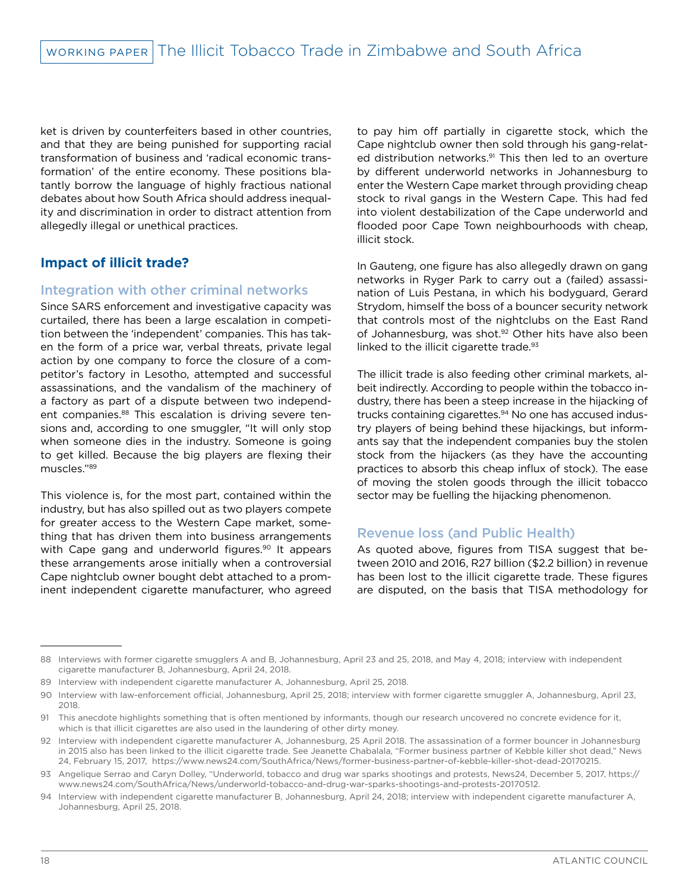ket is driven by counterfeiters based in other countries, and that they are being punished for supporting racial transformation of business and 'radical economic transformation' of the entire economy. These positions blatantly borrow the language of highly fractious national debates about how South Africa should address inequality and discrimination in order to distract attention from allegedly illegal or unethical practices.

## **Impact of illicit trade?**

#### Integration with other criminal networks

Since SARS enforcement and investigative capacity was curtailed, there has been a large escalation in competition between the 'independent' companies. This has taken the form of a price war, verbal threats, private legal action by one company to force the closure of a competitor's factory in Lesotho, attempted and successful assassinations, and the vandalism of the machinery of a factory as part of a dispute between two independent companies.<sup>88</sup> This escalation is driving severe tensions and, according to one smuggler, "It will only stop when someone dies in the industry. Someone is going to get killed. Because the big players are flexing their muscles."89

This violence is, for the most part, contained within the industry, but has also spilled out as two players compete for greater access to the Western Cape market, something that has driven them into business arrangements with Cape gang and underworld figures.<sup>90</sup> It appears these arrangements arose initially when a controversial Cape nightclub owner bought debt attached to a prominent independent cigarette manufacturer, who agreed to pay him off partially in cigarette stock, which the Cape nightclub owner then sold through his gang-related distribution networks.<sup>91</sup> This then led to an overture by different underworld networks in Johannesburg to enter the Western Cape market through providing cheap stock to rival gangs in the Western Cape. This had fed into violent destabilization of the Cape underworld and flooded poor Cape Town neighbourhoods with cheap, illicit stock.

In Gauteng, one figure has also allegedly drawn on gang networks in Ryger Park to carry out a (failed) assassination of Luis Pestana, in which his bodyguard, Gerard Strydom, himself the boss of a bouncer security network that controls most of the nightclubs on the East Rand of Johannesburg, was shot.<sup>92</sup> Other hits have also been linked to the illicit cigarette trade.<sup>93</sup>

The illicit trade is also feeding other criminal markets, albeit indirectly. According to people within the tobacco industry, there has been a steep increase in the hijacking of trucks containing cigarettes.94 No one has accused industry players of being behind these hijackings, but informants say that the independent companies buy the stolen stock from the hijackers (as they have the accounting practices to absorb this cheap influx of stock). The ease of moving the stolen goods through the illicit tobacco sector may be fuelling the hijacking phenomenon.

## Revenue loss (and Public Health)

As quoted above, figures from TISA suggest that between 2010 and 2016, R27 billion (\$2.2 billion) in revenue has been lost to the illicit cigarette trade. These figures are disputed, on the basis that TISA methodology for

<sup>88</sup> Interviews with former cigarette smugglers A and B, Johannesburg, April 23 and 25, 2018, and May 4, 2018; interview with independent cigarette manufacturer B, Johannesburg, April 24, 2018.

<sup>89</sup> Interview with independent cigarette manufacturer A, Johannesburg, April 25, 2018.

<sup>90</sup> Interview with law-enforcement official, Johannesburg, April 25, 2018; interview with former cigarette smuggler A, Johannesburg, April 23, 2018.

<sup>91</sup> This anecdote highlights something that is often mentioned by informants, though our research uncovered no concrete evidence for it, which is that illicit cigarettes are also used in the laundering of other dirty money.

<sup>92</sup> Interview with independent cigarette manufacturer A, Johannesburg, 25 April 2018. The assassination of a former bouncer in Johannesburg in 2015 also has been linked to the illicit cigarette trade. See Jeanette Chabalala, "Former business partner of Kebble killer shot dead," News 24, February 15, 2017, https://www.news24.com/SouthAfrica/News/former-business-partner-of-kebble-killer-shot-dead-20170215.

<sup>93</sup> Angelique Serrao and Caryn Dolley, "Underworld, tobacco and drug war sparks shootings and protests, News24, December 5, 2017, https:// www.news24.com/SouthAfrica/News/underworld-tobacco-and-drug-war-sparks-shootings-and-protests-20170512.

<sup>94</sup> Interview with independent cigarette manufacturer B, Johannesburg, April 24, 2018; interview with independent cigarette manufacturer A, Johannesburg, April 25, 2018.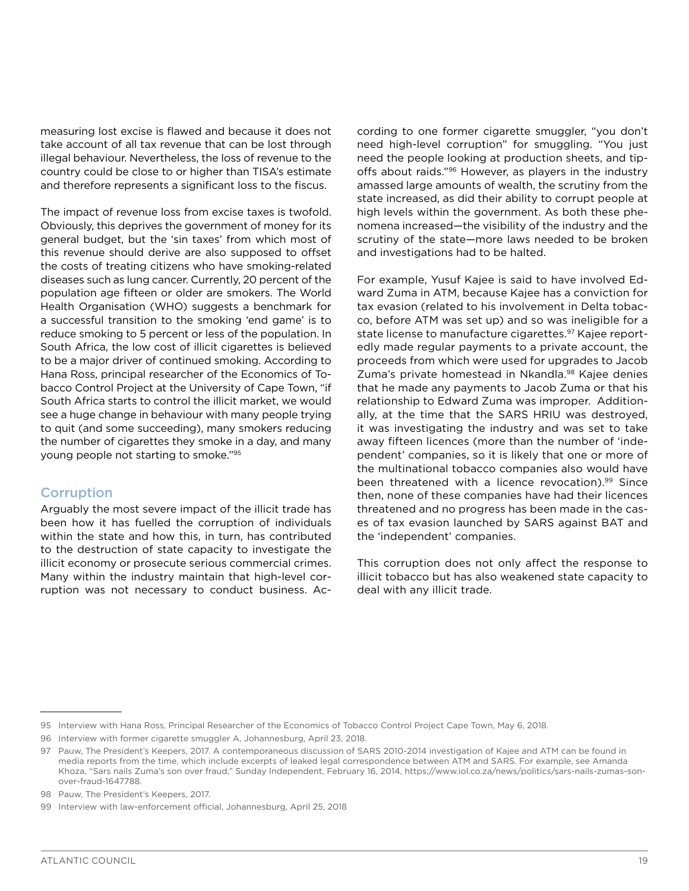measuring lost excise is flawed and because it does not take account of all tax revenue that can be lost through illegal behaviour. Nevertheless, the loss of revenue to the country could be close to or higher than TISA's estimate and therefore represents a significant loss to the fiscus.

The impact of revenue loss from excise taxes is twofold. Obviously, this deprives the government of money for its general budget, but the 'sin taxes' from which most of this revenue should derive are also supposed to offset the costs of treating citizens who have smoking-related diseases such as lung cancer. Currently, 20 percent of the population age fifteen or older are smokers. The World Health Organisation (WHO) suggests a benchmark for a successful transition to the smoking 'end game' is to reduce smoking to 5 percent or less of the population. In South Africa, the low cost of illicit cigarettes is believed to be a major driver of continued smoking. According to Hana Ross, principal researcher of the Economics of Tobacco Control Project at the University of Cape Town, "if South Africa starts to control the illicit market, we would see a huge change in behaviour with many people trying to quit (and some succeeding), many smokers reducing the number of cigarettes they smoke in a day, and many young people not starting to smoke."95

#### **Corruption**

Arguably the most severe impact of the illicit trade has been how it has fuelled the corruption of individuals within the state and how this, in turn, has contributed to the destruction of state capacity to investigate the illicit economy or prosecute serious commercial crimes. Many within the industry maintain that high-level corruption was not necessary to conduct business. According to one former cigarette smuggler, "you don't need high-level corruption" for smuggling. "You just need the people looking at production sheets, and tipoffs about raids."96 However, as players in the industry amassed large amounts of wealth, the scrutiny from the state increased, as did their ability to corrupt people at high levels within the government. As both these phenomena increased—the visibility of the industry and the scrutiny of the state—more laws needed to be broken and investigations had to be halted.

For example, Yusuf Kajee is said to have involved Edward Zuma in ATM, because Kajee has a conviction for tax evasion (related to his involvement in Delta tobacco, before ATM was set up) and so was ineligible for a state license to manufacture cigarettes.<sup>97</sup> Kajee reportedly made regular payments to a private account, the proceeds from which were used for upgrades to Jacob Zuma's private homestead in Nkandla.98 Kajee denies that he made any payments to Jacob Zuma or that his relationship to Edward Zuma was improper. Additionally, at the time that the SARS HRIU was destroyed, it was investigating the industry and was set to take away fifteen licences (more than the number of 'independent' companies, so it is likely that one or more of the multinational tobacco companies also would have been threatened with a licence revocation).<sup>99</sup> Since then, none of these companies have had their licences threatened and no progress has been made in the cases of tax evasion launched by SARS against BAT and the 'independent' companies.

This corruption does not only affect the response to illicit tobacco but has also weakened state capacity to deal with any illicit trade.

<sup>95</sup> Interview with Hana Ross, Principal Researcher of the Economics of Tobacco Control Project Cape Town, May 6, 2018.

<sup>96</sup> Interview with former cigarette smuggler A, Johannesburg, April 23, 2018.

<sup>97</sup> Pauw, The President's Keepers, 2017. A contemporaneous discussion of SARS 2010-2014 investigation of Kajee and ATM can be found in media reports from the time, which include excerpts of leaked legal correspondence between ATM and SARS. For example, see Amanda Khoza, "Sars nails Zuma's son over fraud," Sunday Independent, February 16, 2014, [https://www.iol.co.za/news/politics/sars-nails-zumas-son](https://www.iol.co.za/news/politics/sars-nails-zumas-son-over-fraud-1647788)[over-fraud-1647788](https://www.iol.co.za/news/politics/sars-nails-zumas-son-over-fraud-1647788).

<sup>98</sup> Pauw, The President's Keepers, 2017.

<sup>99</sup> Interview with law-enforcement official, Johannesburg, April 25, 2018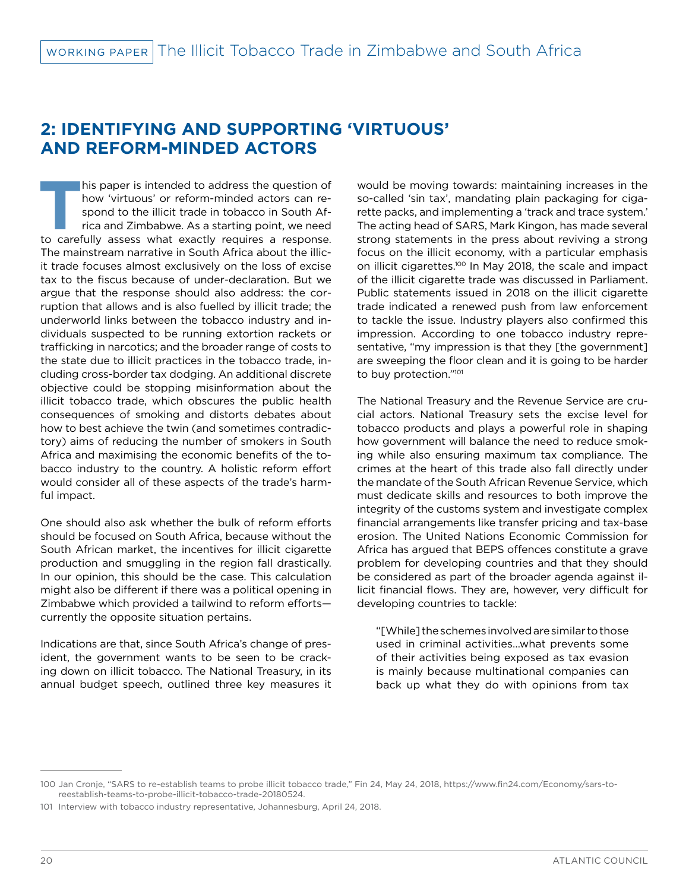# **2: IDENTIFYING AND SUPPORTING 'VIRTUOUS' AND REFORM-MINDED ACTORS**

**THE TERN INTER IS INCREDITED ATT AND THE CONFORMATE CONTROVER THE SPOND OF SOUTH AFFAIT CONFIDENCE AS A starting point, we need to carefully assess what exactly requires a response.** how 'virtuous' or reform-minded actors can respond to the illicit trade in tobacco in South Africa and Zimbabwe. As a starting point, we need The mainstream narrative in South Africa about the illicit trade focuses almost exclusively on the loss of excise tax to the fiscus because of under-declaration. But we argue that the response should also address: the corruption that allows and is also fuelled by illicit trade; the underworld links between the tobacco industry and individuals suspected to be running extortion rackets or trafficking in narcotics; and the broader range of costs to the state due to illicit practices in the tobacco trade, including cross-border tax dodging. An additional discrete objective could be stopping misinformation about the illicit tobacco trade, which obscures the public health consequences of smoking and distorts debates about how to best achieve the twin (and sometimes contradictory) aims of reducing the number of smokers in South Africa and maximising the economic benefits of the tobacco industry to the country. A holistic reform effort would consider all of these aspects of the trade's harmful impact.

One should also ask whether the bulk of reform efforts should be focused on South Africa, because without the South African market, the incentives for illicit cigarette production and smuggling in the region fall drastically. In our opinion, this should be the case. This calculation might also be different if there was a political opening in Zimbabwe which provided a tailwind to reform efforts currently the opposite situation pertains.

Indications are that, since South Africa's change of president, the government wants to be seen to be cracking down on illicit tobacco. The National Treasury, in its annual budget speech, outlined three key measures it would be moving towards: maintaining increases in the so-called 'sin tax', mandating plain packaging for cigarette packs, and implementing a 'track and trace system.' The acting head of SARS, Mark Kingon, has made several strong statements in the press about reviving a strong focus on the illicit economy, with a particular emphasis on illicit cigarettes.<sup>100</sup> In May 2018, the scale and impact of the illicit cigarette trade was discussed in Parliament. Public statements issued in 2018 on the illicit cigarette trade indicated a renewed push from law enforcement to tackle the issue. Industry players also confirmed this impression. According to one tobacco industry representative, "my impression is that they [the government] are sweeping the floor clean and it is going to be harder to buy protection."101

The National Treasury and the Revenue Service are crucial actors. National Treasury sets the excise level for tobacco products and plays a powerful role in shaping how government will balance the need to reduce smoking while also ensuring maximum tax compliance. The crimes at the heart of this trade also fall directly under the mandate of the South African Revenue Service, which must dedicate skills and resources to both improve the integrity of the customs system and investigate complex financial arrangements like transfer pricing and tax-base erosion. The United Nations Economic Commission for Africa has argued that BEPS offences constitute a grave problem for developing countries and that they should be considered as part of the broader agenda against illicit financial flows. They are, however, very difficult for developing countries to tackle:

"[While] the schemes involved are similar to those used in criminal activities…what prevents some of their activities being exposed as tax evasion is mainly because multinational companies can back up what they do with opinions from tax

<sup>100</sup> Jan Cronje, "SARS to re-establish teams to probe illicit tobacco trade," Fin 24, May 24, 2018, https://www.fin24.com/Economy/sars-toreestablish-teams-to-probe-illicit-tobacco-trade-20180524.

<sup>101</sup> Interview with tobacco industry representative, Johannesburg, April 24, 2018.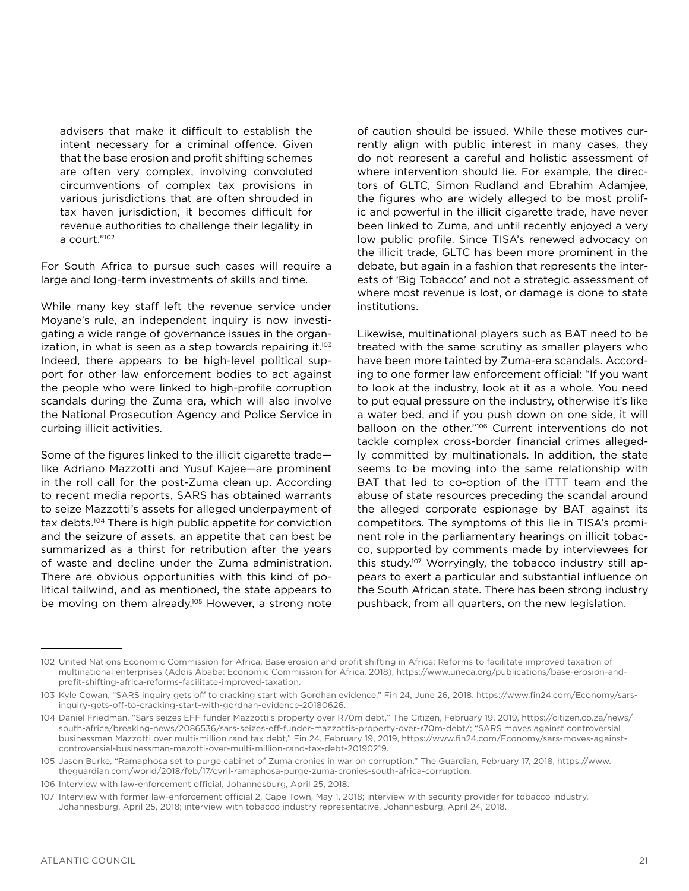advisers that make it difficult to establish the intent necessary for a criminal offence. Given that the base erosion and profit shifting schemes are often very complex, involving convoluted circumventions of complex tax provisions in various jurisdictions that are often shrouded in tax haven jurisdiction, it becomes difficult for revenue authorities to challenge their legality in a court."102

For South Africa to pursue such cases will require a large and long-term investments of skills and time.

While many key staff left the revenue service under Moyane's rule, an independent inquiry is now investigating a wide range of governance issues in the organization, in what is seen as a step towards repairing it. $103$ Indeed, there appears to be high-level political support for other law enforcement bodies to act against the people who were linked to high-profile corruption scandals during the Zuma era, which will also involve the National Prosecution Agency and Police Service in curbing illicit activities.

Some of the figures linked to the illicit cigarette trade like Adriano Mazzotti and Yusuf Kajee—are prominent in the roll call for the post-Zuma clean up. According to recent media reports, SARS has obtained warrants to seize Mazzotti's assets for alleged underpayment of tax debts.104 There is high public appetite for conviction and the seizure of assets, an appetite that can best be summarized as a thirst for retribution after the years of waste and decline under the Zuma administration. There are obvious opportunities with this kind of political tailwind, and as mentioned, the state appears to be moving on them already.<sup>105</sup> However, a strong note of caution should be issued. While these motives currently align with public interest in many cases, they do not represent a careful and holistic assessment of where intervention should lie. For example, the directors of GLTC, Simon Rudland and Ebrahim Adamjee, the figures who are widely alleged to be most prolific and powerful in the illicit cigarette trade, have never been linked to Zuma, and until recently enjoyed a very low public profile. Since TISA's renewed advocacy on the illicit trade, GLTC has been more prominent in the debate, but again in a fashion that represents the interests of 'Big Tobacco' and not a strategic assessment of where most revenue is lost, or damage is done to state institutions.

Likewise, multinational players such as BAT need to be treated with the same scrutiny as smaller players who have been more tainted by Zuma-era scandals. According to one former law enforcement official: "If you want to look at the industry, look at it as a whole. You need to put equal pressure on the industry, otherwise it's like a water bed, and if you push down on one side, it will balloon on the other."106 Current interventions do not tackle complex cross-border financial crimes allegedly committed by multinationals. In addition, the state seems to be moving into the same relationship with BAT that led to co-option of the ITTT team and the abuse of state resources preceding the scandal around the alleged corporate espionage by BAT against its competitors. The symptoms of this lie in TISA's prominent role in the parliamentary hearings on illicit tobacco, supported by comments made by interviewees for this study.107 Worryingly, the tobacco industry still appears to exert a particular and substantial influence on the South African state. There has been strong industry pushback, from all quarters, on the new legislation.

<sup>102</sup> United Nations Economic Commission for Africa, Base erosion and profit shifting in Africa: Reforms to facilitate improved taxation of multinational enterprises (Addis Ababa: Economic Commission for Africa, 2018), https://www.uneca.org/publications/base-erosion-andprofit-shifting-africa-reforms-facilitate-improved-taxation.

<sup>103</sup> Kyle Cowan, "SARS inquiry gets off to cracking start with Gordhan evidence," Fin 24, June 26, 2018. https://www.fin24.com/Economy/sarsinquiry-gets-off-to-cracking-start-with-gordhan-evidence-20180626.

<sup>104</sup> Daniel Friedman, "Sars seizes EFF funder Mazzotti's property over R70m debt," The Citizen, February 19, 2019, https://citizen.co.za/news/ south-africa/breaking-news/2086536/sars-seizes-eff-funder-mazzottis-property-over-r70m-debt/; "SARS moves against controversial businessman Mazzotti over multi-million rand tax debt," Fin 24, February 19, 2019, https://www.fin24.com/Economy/sars-moves-againstcontroversial-businessman-mazotti-over-multi-million-rand-tax-debt-20190219.

<sup>105</sup> Jason Burke, "Ramaphosa set to purge cabinet of Zuma cronies in war on corruption," The Guardian, February 17, 2018, https://www. theguardian.com/world/2018/feb/17/cyril-ramaphosa-purge-zuma-cronies-south-africa-corruption.

<sup>106</sup> Interview with law-enforcement official, Johannesburg, April 25, 2018.

<sup>107</sup> Interview with former law-enforcement official 2, Cape Town, May 1, 2018; interview with security provider for tobacco industry, Johannesburg, April 25, 2018; interview with tobacco industry representative, Johannesburg, April 24, 2018.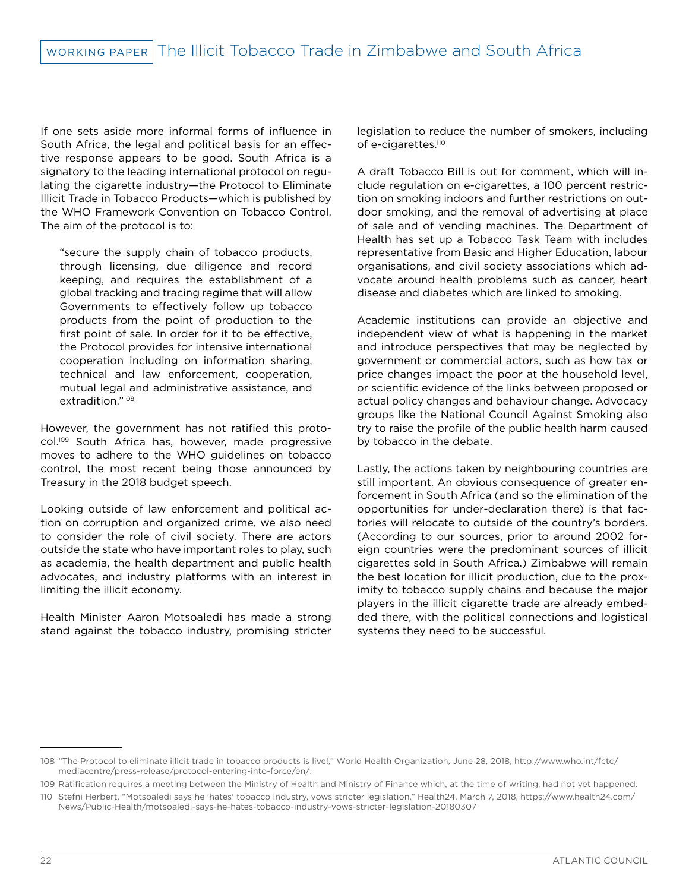If one sets aside more informal forms of influence in South Africa, the legal and political basis for an effective response appears to be good. South Africa is a signatory to the leading international protocol on regulating the cigarette industry—the Protocol to Eliminate Illicit Trade in Tobacco Products—which is published by the WHO Framework Convention on Tobacco Control. The aim of the protocol is to:

"secure the supply chain of tobacco products, through licensing, due diligence and record keeping, and requires the establishment of a global tracking and tracing regime that will allow Governments to effectively follow up tobacco products from the point of production to the first point of sale. In order for it to be effective, the Protocol provides for intensive international cooperation including on information sharing, technical and law enforcement, cooperation, mutual legal and administrative assistance, and extradition."108

However, the government has not ratified this protocol.109 South Africa has, however, made progressive moves to adhere to the WHO guidelines on tobacco control, the most recent being those announced by Treasury in the 2018 budget speech.

Looking outside of law enforcement and political action on corruption and organized crime, we also need to consider the role of civil society. There are actors outside the state who have important roles to play, such as academia, the health department and public health advocates, and industry platforms with an interest in limiting the illicit economy.

Health Minister Aaron Motsoaledi has made a strong stand against the tobacco industry, promising stricter legislation to reduce the number of smokers, including of e-cigarettes.110

A draft Tobacco Bill is out for comment, which will include regulation on e-cigarettes, a 100 percent restriction on smoking indoors and further restrictions on outdoor smoking, and the removal of advertising at place of sale and of vending machines. The Department of Health has set up a Tobacco Task Team with includes representative from Basic and Higher Education, labour organisations, and civil society associations which advocate around health problems such as cancer, heart disease and diabetes which are linked to smoking.

Academic institutions can provide an objective and independent view of what is happening in the market and introduce perspectives that may be neglected by government or commercial actors, such as how tax or price changes impact the poor at the household level, or scientific evidence of the links between proposed or actual policy changes and behaviour change. Advocacy groups like the National Council Against Smoking also try to raise the profile of the public health harm caused by tobacco in the debate.

Lastly, the actions taken by neighbouring countries are still important. An obvious consequence of greater enforcement in South Africa (and so the elimination of the opportunities for under-declaration there) is that factories will relocate to outside of the country's borders. (According to our sources, prior to around 2002 foreign countries were the predominant sources of illicit cigarettes sold in South Africa.) Zimbabwe will remain the best location for illicit production, due to the proximity to tobacco supply chains and because the major players in the illicit cigarette trade are already embedded there, with the political connections and logistical systems they need to be successful.

<sup>108</sup> "The Protocol to eliminate illicit trade in tobacco products is live!," World Health Organization, June 28, 2018, http://www.who.int/fctc/ mediacentre/press-release/protocol-entering-into-force/en/.

<sup>109</sup> Ratification requires a meeting between the Ministry of Health and Ministry of Finance which, at the time of writing, had not yet happened.

<sup>110</sup> Stefni Herbert, "Motsoaledi says he 'hates' tobacco industry, vows stricter legislation," Health24, March 7, 2018, https://www.health24.com/ News/Public-Health/motsoaledi-says-he-hates-tobacco-industry-vows-stricter-legislation-20180307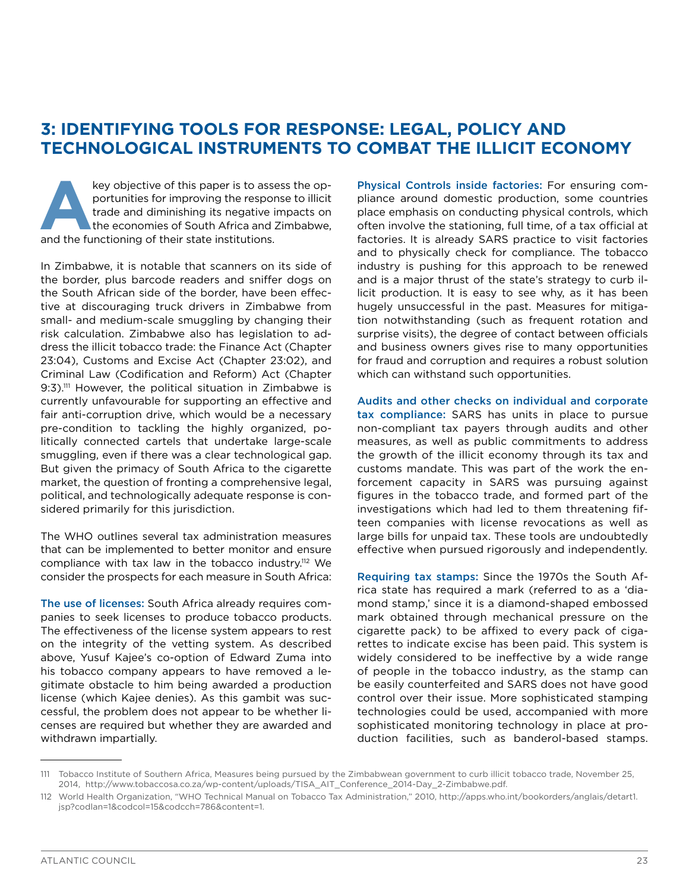# **3: IDENTIFYING TOOLS FOR RESPONSE: LEGAL, POLICY AND TECHNOLOGICAL INSTRUMENTS TO COMBAT THE ILLICIT ECONOMY**

**A**key objective of this paper is to assess the opportunities for improving the response to illicit trade and diminishing its negative impacts on the economies of South Africa and Zimbabwe, and the functioning of their state institutions.

In Zimbabwe, it is notable that scanners on its side of the border, plus barcode readers and sniffer dogs on the South African side of the border, have been effective at discouraging truck drivers in Zimbabwe from small- and medium-scale smuggling by changing their risk calculation. Zimbabwe also has legislation to address the illicit tobacco trade: the Finance Act (Chapter 23:04), Customs and Excise Act (Chapter 23:02), and Criminal Law (Codification and Reform) Act (Chapter 9:3).<sup>111</sup> However, the political situation in Zimbabwe is currently unfavourable for supporting an effective and fair anti-corruption drive, which would be a necessary pre-condition to tackling the highly organized, politically connected cartels that undertake large-scale smuggling, even if there was a clear technological gap. But given the primacy of South Africa to the cigarette market, the question of fronting a comprehensive legal, political, and technologically adequate response is considered primarily for this jurisdiction.

The WHO outlines several tax administration measures that can be implemented to better monitor and ensure compliance with tax law in the tobacco industry.112 We consider the prospects for each measure in South Africa:

The use of licenses: South Africa already requires companies to seek licenses to produce tobacco products. The effectiveness of the license system appears to rest on the integrity of the vetting system. As described above, Yusuf Kajee's co-option of Edward Zuma into his tobacco company appears to have removed a legitimate obstacle to him being awarded a production license (which Kajee denies). As this gambit was successful, the problem does not appear to be whether licenses are required but whether they are awarded and withdrawn impartially.

Physical Controls inside factories: For ensuring compliance around domestic production, some countries place emphasis on conducting physical controls, which often involve the stationing, full time, of a tax official at factories. It is already SARS practice to visit factories and to physically check for compliance. The tobacco industry is pushing for this approach to be renewed and is a major thrust of the state's strategy to curb illicit production. It is easy to see why, as it has been hugely unsuccessful in the past. Measures for mitigation notwithstanding (such as frequent rotation and surprise visits), the degree of contact between officials and business owners gives rise to many opportunities for fraud and corruption and requires a robust solution which can withstand such opportunities.

Audits and other checks on individual and corporate tax compliance: SARS has units in place to pursue non-compliant tax payers through audits and other measures, as well as public commitments to address the growth of the illicit economy through its tax and customs mandate. This was part of the work the enforcement capacity in SARS was pursuing against figures in the tobacco trade, and formed part of the investigations which had led to them threatening fifteen companies with license revocations as well as large bills for unpaid tax. These tools are undoubtedly effective when pursued rigorously and independently.

Requiring tax stamps: Since the 1970s the South Africa state has required a mark (referred to as a 'diamond stamp,' since it is a diamond-shaped embossed mark obtained through mechanical pressure on the cigarette pack) to be affixed to every pack of cigarettes to indicate excise has been paid. This system is widely considered to be ineffective by a wide range of people in the tobacco industry, as the stamp can be easily counterfeited and SARS does not have good control over their issue. More sophisticated stamping technologies could be used, accompanied with more sophisticated monitoring technology in place at production facilities, such as banderol-based stamps.

<sup>111</sup> Tobacco Institute of Southern Africa, Measures being pursued by the Zimbabwean government to curb illicit tobacco trade, November 25, 2014, [http://www.tobaccosa.co.za/wp-content/uploads/TISA\\_AIT\\_Conference\\_2014-Day\\_2-Zimbabwe.pdf](http://www.tobaccosa.co.za/wp-content/uploads/TISA_AIT_Conference_2014-Day_2-Zimbabwe.pdf).

<sup>112</sup> World Health Organization, "WHO Technical Manual on Tobacco Tax Administration," 2010, http://apps.who.int/bookorders/anglais/detart1. jsp?codlan=1&codcol=15&codcch=786&content=1.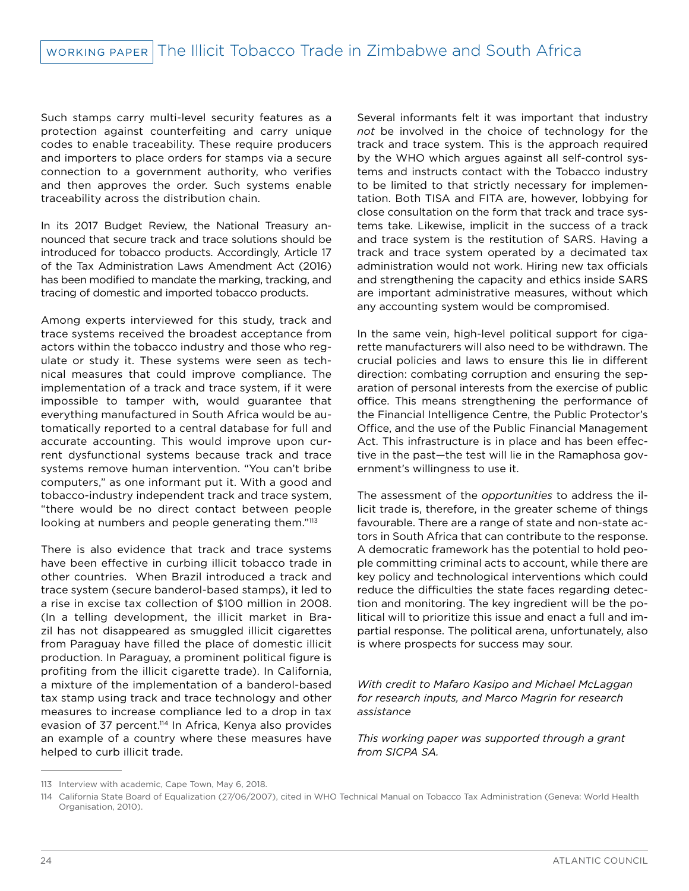Such stamps carry multi-level security features as a protection against counterfeiting and carry unique codes to enable traceability. These require producers and importers to place orders for stamps via a secure connection to a government authority, who verifies and then approves the order. Such systems enable traceability across the distribution chain.

In its 2017 Budget Review, the National Treasury announced that secure track and trace solutions should be introduced for tobacco products. Accordingly, Article 17 of the Tax Administration Laws Amendment Act (2016) has been modified to mandate the marking, tracking, and tracing of domestic and imported tobacco products.

Among experts interviewed for this study, track and trace systems received the broadest acceptance from actors within the tobacco industry and those who regulate or study it. These systems were seen as technical measures that could improve compliance. The implementation of a track and trace system, if it were impossible to tamper with, would guarantee that everything manufactured in South Africa would be automatically reported to a central database for full and accurate accounting. This would improve upon current dysfunctional systems because track and trace systems remove human intervention. "You can't bribe computers," as one informant put it. With a good and tobacco-industry independent track and trace system, "there would be no direct contact between people looking at numbers and people generating them."<sup>113</sup>

There is also evidence that track and trace systems have been effective in curbing illicit tobacco trade in other countries. When Brazil introduced a track and trace system (secure banderol-based stamps), it led to a rise in excise tax collection of \$100 million in 2008. (In a telling development, the illicit market in Brazil has not disappeared as smuggled illicit cigarettes from Paraguay have filled the place of domestic illicit production. In Paraguay, a prominent political figure is profiting from the illicit cigarette trade). In California, a mixture of the implementation of a banderol-based tax stamp using track and trace technology and other measures to increase compliance led to a drop in tax evasion of 37 percent.<sup>114</sup> In Africa, Kenya also provides an example of a country where these measures have helped to curb illicit trade.

Several informants felt it was important that industry *not* be involved in the choice of technology for the track and trace system. This is the approach required by the WHO which argues against all self-control systems and instructs contact with the Tobacco industry to be limited to that strictly necessary for implementation. Both TISA and FITA are, however, lobbying for close consultation on the form that track and trace systems take. Likewise, implicit in the success of a track and trace system is the restitution of SARS. Having a track and trace system operated by a decimated tax administration would not work. Hiring new tax officials and strengthening the capacity and ethics inside SARS are important administrative measures, without which any accounting system would be compromised.

In the same vein, high-level political support for cigarette manufacturers will also need to be withdrawn. The crucial policies and laws to ensure this lie in different direction: combating corruption and ensuring the separation of personal interests from the exercise of public office. This means strengthening the performance of the Financial Intelligence Centre, the Public Protector's Office, and the use of the Public Financial Management Act. This infrastructure is in place and has been effective in the past—the test will lie in the Ramaphosa government's willingness to use it.

The assessment of the *opportunities* to address the illicit trade is, therefore, in the greater scheme of things favourable. There are a range of state and non-state actors in South Africa that can contribute to the response. A democratic framework has the potential to hold people committing criminal acts to account, while there are key policy and technological interventions which could reduce the difficulties the state faces regarding detection and monitoring. The key ingredient will be the political will to prioritize this issue and enact a full and impartial response. The political arena, unfortunately, also is where prospects for success may sour.

*With credit to Mafaro Kasipo and Michael McLaggan for research inputs, and Marco Magrin for research assistance*

*This working paper was supported through a grant from SICPA SA.*

<sup>113</sup> Interview with academic, Cape Town, May 6, 2018.

<sup>114</sup> California State Board of Equalization (27/06/2007), cited in WHO Technical Manual on Tobacco Tax Administration (Geneva: World Health Organisation, 2010).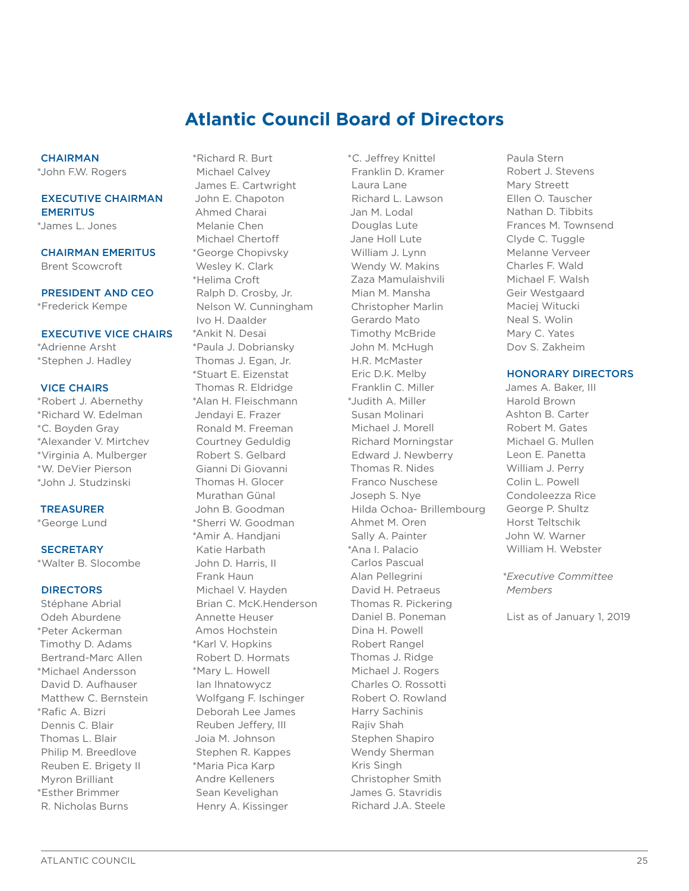# **Atlantic Council Board of Directors**

#### **CHAIRMAN**

\*John F.W. Rogers

#### EXECUTIVE CHAIRMAN **EMERITUS**

\*James L. Jones

CHAIRMAN EMERITUS Brent Scowcroft

#### PRESIDENT AND CEO

\*Frederick Kempe

#### EXECUTIVE VICE CHAIRS

\*Adrienne Arsht \*Stephen J. Hadley

#### VICE CHAIRS

\*Robert J. Abernethy \*Richard W. Edelman \*C. Boyden Gray \*Alexander V. Mirtchev \*Virginia A. Mulberger \*W. DeVier Pierson \*John J. Studzinski

#### **TREASURER**

\*George Lund

#### **SECRETARY**

\*Walter B. Slocombe

#### **DIRECTORS**

Stéphane Abrial Odeh Aburdene \*Peter Ackerman Timothy D. Adams Bertrand-Marc Allen \*Michael Andersson David D. Aufhauser Matthew C. Bernstein \*Rafic A. Bizri Dennis C. Blair Thomas L. Blair Philip M. Breedlove Reuben E. Brigety II Myron Brilliant \*Esther Brimmer R. Nicholas Burns

\*Richard R. Burt Michael Calvey James E. Cartwright John E. Chapoton Ahmed Charai Melanie Chen Michael Chertoff \*George Chopivsky Wesley K. Clark \*Helima Croft Ralph D. Crosby, Jr. Nelson W. Cunningham Ivo H. Daalder \*Ankit N. Desai \*Paula J. Dobriansky Thomas J. Egan, Jr. \*Stuart E. Eizenstat Thomas R. Eldridge \*Alan H. Fleischmann Jendayi E. Frazer Ronald M. Freeman Courtney Geduldig Robert S. Gelbard Gianni Di Giovanni Thomas H. Glocer Murathan Günal John B. Goodman \*Sherri W. Goodman \*Amir A. Handjani Katie Harbath John D. Harris, II Frank Haun Michael V. Hayden Brian C. McK.Henderson Annette Heuser Amos Hochstein \*Karl V. Hopkins Robert D. Hormats \*Mary L. Howell Ian Ihnatowycz Wolfgang F. Ischinger Deborah Lee James Reuben Jeffery, III Joia M. Johnson Stephen R. Kappes \*Maria Pica Karp Andre Kelleners Sean Kevelighan Henry A. Kissinger

\*C. Jeffrey Knittel Franklin D. Kramer Laura Lane Richard L. Lawson Jan M. Lodal Douglas Lute Jane Holl Lute William J. Lynn Wendy W. Makins Zaza Mamulaishvili Mian M. Mansha Christopher Marlin Gerardo Mato Timothy McBride John M. McHugh H.R. McMaster Eric D.K. Melby Franklin C. Miller \*Judith A. Miller Susan Molinari Michael J. Morell Richard Morningstar Edward J. Newberry Thomas R. Nides Franco Nuschese Joseph S. Nye Hilda Ochoa- Brillembourg Ahmet M. Oren Sally A. Painter \*Ana I. Palacio Carlos Pascual Alan Pellegrini David H. Petraeus Thomas R. Pickering Daniel B. Poneman Dina H. Powell Robert Rangel Thomas J. Ridge Michael J. Rogers Charles O. Rossotti Robert O. Rowland Harry Sachinis Rajiv Shah Stephen Shapiro Wendy Sherman Kris Singh Christopher Smith James G. Stavridis Richard J.A. Steele

Paula Stern Robert J. Stevens Mary Streett Ellen O. Tauscher Nathan D. Tibbits Frances M. Townsend Clyde C. Tuggle Melanne Verveer Charles F. Wald Michael F. Walsh Geir Westgaard Maciej Witucki Neal S. Wolin Mary C. Yates Dov S. Zakheim

#### HONORARY DIRECTORS

James A. Baker, III Harold Brown Ashton B. Carter Robert M. Gates Michael G. Mullen Leon E. Panetta William J. Perry Colin L. Powell Condoleezza Rice George P. Shultz Horst Teltschik John W. Warner William H. Webster

*\*Executive Committee Members*

List as of January 1, 2019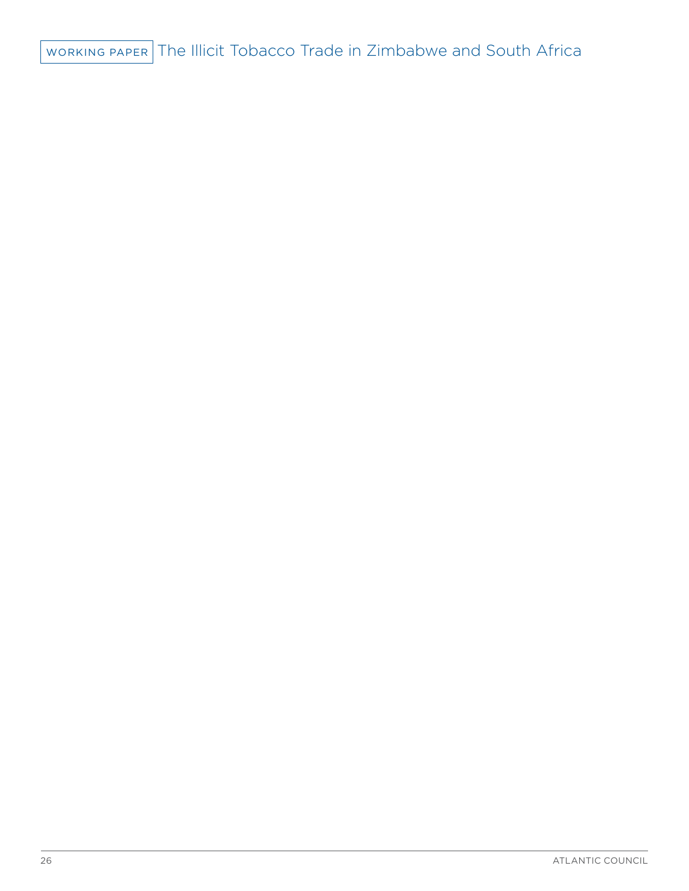